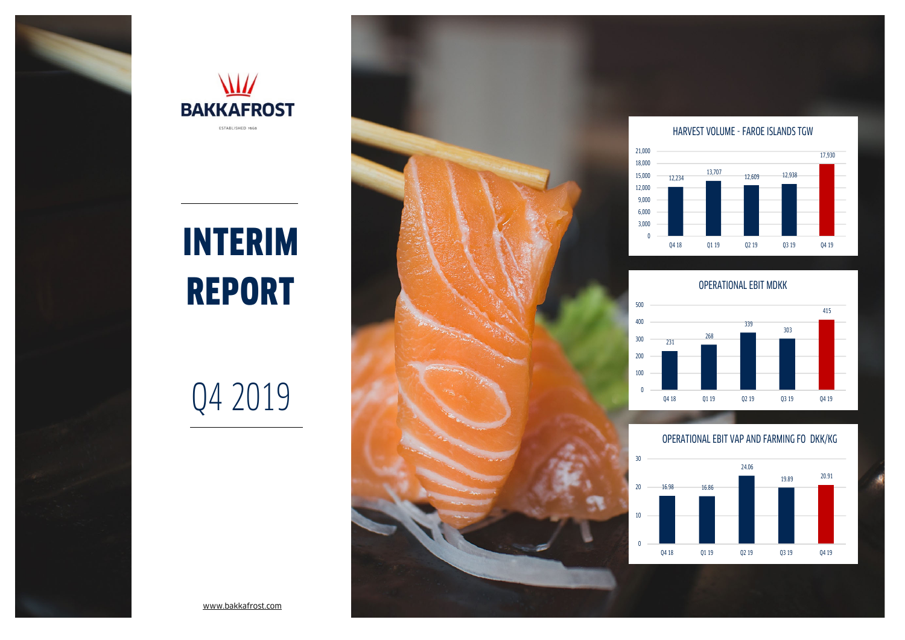



# INTERIM REPORT

# Q4 2019



### HARVEST VOLUME - FAROE ISLANDS TGW



OPERATIONAL EBIT MDKK



### OPERATIONAL EBIT VAP AND FARMING FO DKK/KG

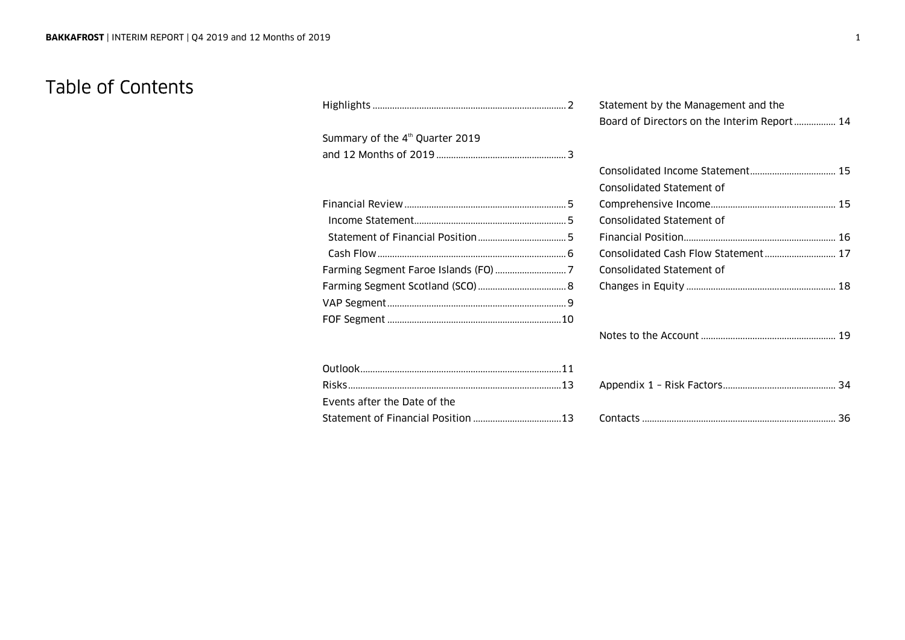### Table of Contents

|                                             | Statement by the Management and the<br>Board of Directors on the Interim Report 14 |
|---------------------------------------------|------------------------------------------------------------------------------------|
| Summary of the 4 <sup>th</sup> Quarter 2019 |                                                                                    |
|                                             |                                                                                    |
|                                             |                                                                                    |
|                                             | Consolidated Statement of                                                          |
|                                             |                                                                                    |
|                                             | Consolidated Statement of                                                          |
|                                             |                                                                                    |
|                                             | Consolidated Cash Flow Statement 17                                                |
|                                             | Consolidated Statement of                                                          |
|                                             |                                                                                    |
|                                             |                                                                                    |
|                                             |                                                                                    |
|                                             |                                                                                    |
|                                             |                                                                                    |
| Events after the Date of the                |                                                                                    |
|                                             |                                                                                    |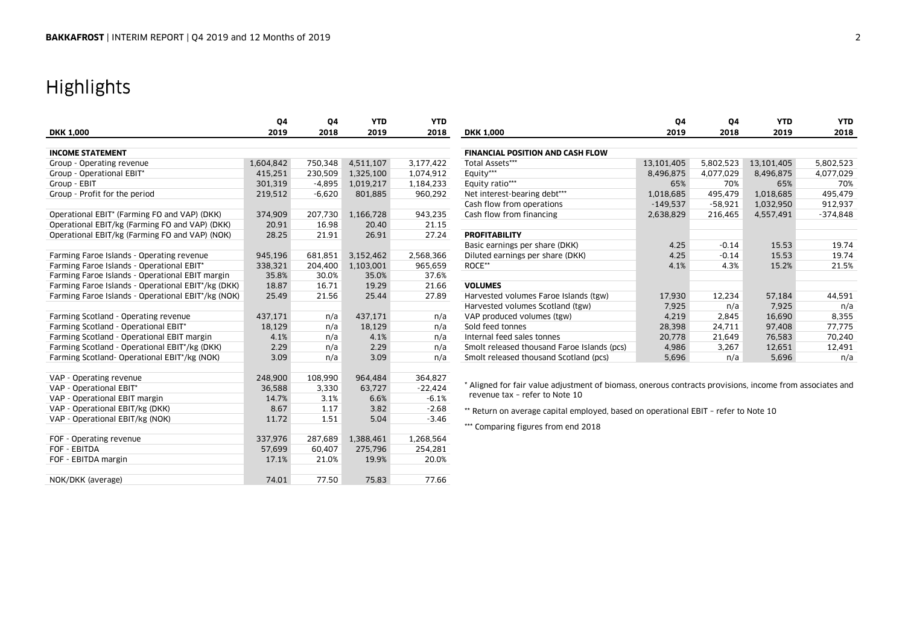# Highlights

|                                                    | Q4        | Q4       | <b>YTD</b> | <b>YTD</b> |                                                                                                          | Q4         | Q4        | <b>YTD</b> | <b>YTD</b> |
|----------------------------------------------------|-----------|----------|------------|------------|----------------------------------------------------------------------------------------------------------|------------|-----------|------------|------------|
| <b>DKK 1,000</b>                                   | 2019      | 2018     | 2019       | 2018       | <b>DKK 1,000</b>                                                                                         | 2019       | 2018      | 2019       | 2018       |
|                                                    |           |          |            |            |                                                                                                          |            |           |            |            |
| <b>INCOME STATEMENT</b>                            |           |          |            |            | <b>FINANCIAL POSITION AND CASH FLOW</b>                                                                  |            |           |            |            |
| Group - Operating revenue                          | 1,604,842 | 750,348  | 4,511,107  | 3,177,422  | Total Assets***                                                                                          | 13,101,405 | 5,802,523 | 13,101,405 | 5,802,523  |
| Group - Operational EBIT*                          | 415,251   | 230,509  | 1,325,100  | 1,074,912  | Equity***                                                                                                | 8,496,875  | 4,077,029 | 8,496,875  | 4,077,029  |
| Group - EBIT                                       | 301,319   | $-4,895$ | 1,019,217  | 1,184,233  | Equity ratio***                                                                                          | 65%        | 70%       | 65%        | 70%        |
| Group - Profit for the period                      | 219,512   | $-6,620$ | 801,885    | 960,292    | Net interest-bearing debt***                                                                             | 1,018,685  | 495.479   | 1,018,685  | 495.479    |
|                                                    |           |          |            |            | Cash flow from operations                                                                                | $-149.537$ | $-58,921$ | 1,032,950  | 912,937    |
| Operational EBIT* (Farming FO and VAP) (DKK)       | 374,909   | 207,730  | 1,166,728  | 943,235    | Cash flow from financing                                                                                 | 2,638,829  | 216,465   | 4,557,491  | $-374,848$ |
| Operational EBIT/kg (Farming FO and VAP) (DKK)     | 20.91     | 16.98    | 20.40      | 21.15      |                                                                                                          |            |           |            |            |
| Operational EBIT/kg (Farming FO and VAP) (NOK)     | 28.25     | 21.91    | 26.91      | 27.24      | <b>PROFITABILITY</b>                                                                                     |            |           |            |            |
|                                                    |           |          |            |            | Basic earnings per share (DKK)                                                                           | 4.25       | $-0.14$   | 15.53      | 19.74      |
| Farming Faroe Islands - Operating revenue          | 945,196   | 681,851  | 3,152,462  | 2,568,366  | Diluted earnings per share (DKK)                                                                         | 4.25       | $-0.14$   | 15.53      | 19.74      |
| Farming Faroe Islands - Operational EBIT*          | 338,321   | 204,400  | 1,103,001  | 965,659    | ROCE**                                                                                                   | 4.1%       | 4.3%      | 15.2%      | 21.5%      |
| Farming Faroe Islands - Operational EBIT margin    | 35.8%     | 30.0%    | 35.0%      | 37.6%      |                                                                                                          |            |           |            |            |
| Farming Faroe Islands - Operational EBIT*/kg (DKK) | 18.87     | 16.71    | 19.29      | 21.66      | <b>VOLUMES</b>                                                                                           |            |           |            |            |
| Farming Faroe Islands - Operational EBIT*/kg (NOK) | 25.49     | 21.56    | 25.44      | 27.89      | Harvested volumes Faroe Islands (tgw)                                                                    | 17,930     | 12,234    | 57,184     | 44,591     |
|                                                    |           |          |            |            | Harvested volumes Scotland (tgw)                                                                         | 7,925      | n/a       | 7.925      | n/a        |
| Farming Scotland - Operating revenue               | 437,171   | n/a      | 437,171    | n/a        | VAP produced volumes (tgw)                                                                               | 4,219      | 2,845     | 16,690     | 8,355      |
| Farming Scotland - Operational EBIT*               | 18,129    | n/a      | 18.129     | n/a        | Sold feed tonnes                                                                                         | 28,398     | 24,711    | 97.408     | 77,775     |
| Farming Scotland - Operational EBIT margin         | 4.1%      | n/a      | 4.1%       | n/a        | Internal feed sales tonnes                                                                               | 20,778     | 21,649    | 76,583     | 70,240     |
| Farming Scotland - Operational EBIT*/kg (DKK)      | 2.29      | n/a      | 2.29       | n/a        | Smolt released thousand Faroe Islands (pcs)                                                              | 4,986      | 3,267     | 12,651     | 12,491     |
| Farming Scotland- Operational EBIT*/kg (NOK)       | 3.09      | n/a      | 3.09       | n/a        | Smolt released thousand Scotland (pcs)                                                                   | 5,696      | n/a       | 5,696      | n/a        |
|                                                    |           |          |            |            |                                                                                                          |            |           |            |            |
| VAP - Operating revenue                            | 248,900   | 108,990  | 964,484    | 364,827    |                                                                                                          |            |           |            |            |
| VAP - Operational EBIT*                            | 36,588    | 3.330    | 63.727     | $-22,424$  | * Aligned for fair value adjustment of biomass, onerous contracts provisions, income from associates and |            |           |            |            |
| VAP - Operational EBIT margin                      | 14.7%     | 3.1%     | 6.6%       | $-6.1%$    | revenue tax - refer to Note 10                                                                           |            |           |            |            |
| VAP - Operational EBIT/kg (DKK)                    | 8.67      | 1.17     | 3.82       | $-2.68$    | ** Return on average capital employed, based on operational EBIT - refer to Note 10                      |            |           |            |            |
| VAP - Operational EBIT/kg (NOK)                    | 11.72     | 1.51     | 5.04       | $-3.46$    |                                                                                                          |            |           |            |            |
|                                                    |           |          |            |            | *** Comparing figures from end 2018                                                                      |            |           |            |            |
| FOF - Operating revenue                            | 337,976   | 287,689  | 1,388,461  | 1.268.564  |                                                                                                          |            |           |            |            |
| FOF - EBITDA                                       | 57,699    | 60,407   | 275,796    | 254,281    |                                                                                                          |            |           |            |            |
| FOF - EBITDA margin                                | 17.1%     | 21.0%    | 19.9%      | 20.0%      |                                                                                                          |            |           |            |            |
|                                                    |           |          |            |            |                                                                                                          |            |           |            |            |
| NOK/DKK (average)                                  | 74.01     | 77.50    | 75.83      | 77.66      |                                                                                                          |            |           |            |            |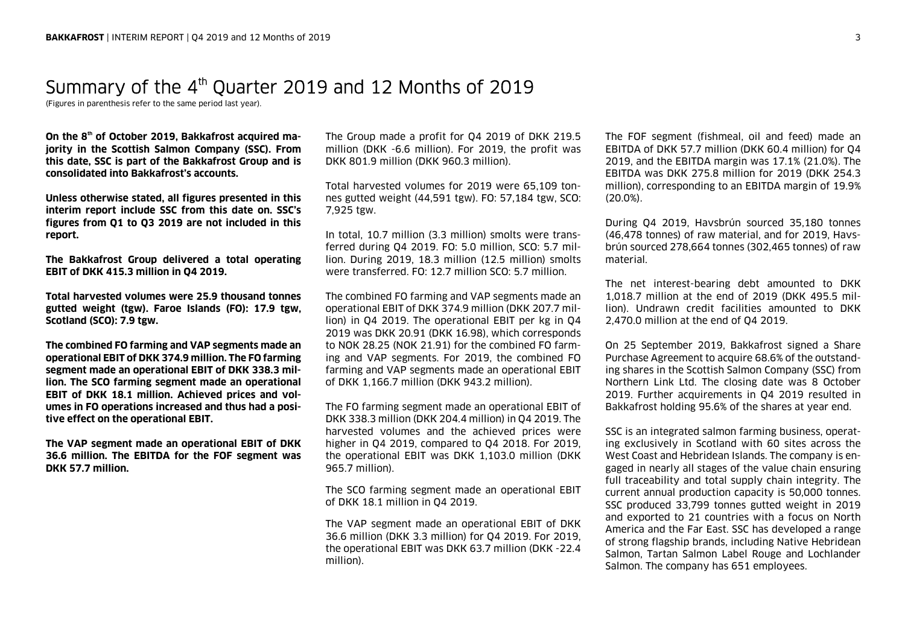# Summary of the 4<sup>th</sup> Quarter 2019 and 12 Months of 2019

(Figures in parenthesis refer to the same period last year).

**On the 8th of October 2019, Bakkafrost acquired majority in the Scottish Salmon Company (SSC). From this date, SSC is part of the Bakkafrost Group and is consolidated into Bakkafrost's accounts.** 

**Unless otherwise stated, all figures presented in this interim report include SSC from this date on. SSC's figures from Q1 to Q3 2019 are not included in this report.** 

**The Bakkafrost Group delivered a total operating EBIT of DKK 415.3 million in Q4 2019.** 

**Total harvested volumes were 25.9 thousand tonnes gutted weight (tgw). Faroe Islands (FO): 17.9 tgw, Scotland (SCO): 7.9 tgw.** 

**The combined FO farming and VAP segments made an operational EBIT of DKK 374.9 million. The FO farming segment made an operational EBIT of DKK 338.3 million. The SCO farming segment made an operational EBIT of DKK 18.1 million. Achieved prices and volumes in FO operations increased and thus had a positive effect on the operational EBIT.** 

**The VAP segment made an operational EBIT of DKK 36.6 million. The EBITDA for the FOF segment was DKK 57.7 million.** 

The Group made a profit for Q4 2019 of DKK 219.5 million (DKK -6.6 million). For 2019, the profit was DKK 801.9 million (DKK 960.3 million).

Total harvested volumes for 2019 were 65,109 tonnes gutted weight (44,591 tgw). FO: 57,184 tgw, SCO: 7,925 tgw.

In total, 10.7 million (3.3 million) smolts were transferred during Q4 2019. FO: 5.0 million, SCO: 5.7 million. During 2019, 18.3 million (12.5 million) smolts were transferred. FO: 12.7 million SCO: 5.7 million.

The combined FO farming and VAP segments made an operational EBIT of DKK 374.9 million (DKK 207.7 million) in Q4 2019. The operational EBIT per kg in Q4 2019 was DKK 20.91 (DKK 16.98), which corresponds to NOK 28.25 (NOK 21.91) for the combined FO farming and VAP segments. For 2019, the combined FO farming and VAP segments made an operational EBIT of DKK 1,166.7 million (DKK 943.2 million).

The FO farming segment made an operational EBIT of DKK 338.3 million (DKK 204.4 million) in Q4 2019. The harvested volumes and the achieved prices were higher in Q4 2019, compared to Q4 2018. For 2019, the operational EBIT was DKK 1,103.0 million (DKK 965.7 million).

The SCO farming segment made an operational EBIT of DKK 18.1 million in Q4 2019.

The VAP segment made an operational EBIT of DKK 36.6 million (DKK 3.3 million) for Q4 2019. For 2019, the operational EBIT was DKK 63.7 million (DKK -22.4 million).

The FOF segment (fishmeal, oil and feed) made an EBITDA of DKK 57.7 million (DKK 60.4 million) for Q4 2019, and the EBITDA margin was 17.1% (21.0%). The EBITDA was DKK 275.8 million for 2019 (DKK 254.3 million), corresponding to an EBITDA margin of 19.9% (20.0%).

During Q4 2019, Havsbrún sourced 35,180 tonnes (46,478 tonnes) of raw material, and for 2019, Havsbrún sourced 278,664 tonnes (302,465 tonnes) of raw material.

The net interest-bearing debt amounted to DKK 1,018.7 million at the end of 2019 (DKK 495.5 million). Undrawn credit facilities amounted to DKK 2,470.0 million at the end of Q4 2019.

On 25 September 2019, Bakkafrost signed a Share Purchase Agreement to acquire 68.6% of the outstanding shares in the Scottish Salmon Company (SSC) from Northern Link Ltd. The closing date was 8 October 2019. Further acquirements in Q4 2019 resulted in Bakkafrost holding 95.6% of the shares at year end.

SSC is an integrated salmon farming business, operating exclusively in Scotland with 60 sites across the West Coast and Hebridean Islands. The company is engaged in nearly all stages of the value chain ensuring full traceability and total supply chain integrity. The current annual production capacity is 50,000 tonnes. SSC produced 33,799 tonnes gutted weight in 2019 and exported to 21 countries with a focus on North America and the Far East. SSC has developed a range of strong flagship brands, including Native Hebridean Salmon, Tartan Salmon Label Rouge and Lochlander Salmon. The company has 651 employees.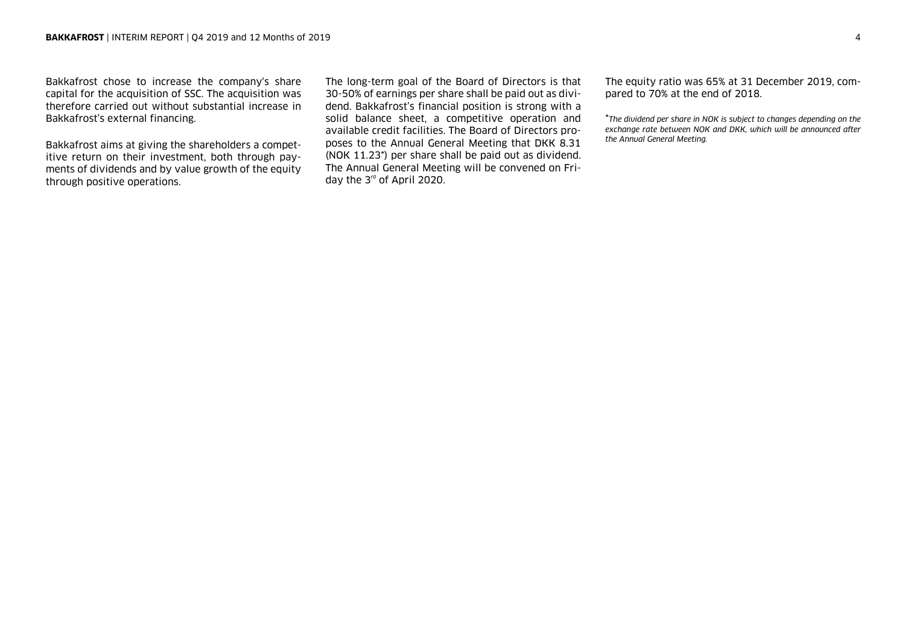Bakkafrost chose to increase the company's share capital for the acquisition of SSC. The acquisition was therefore carried out without substantial increase in Bakkafrost's external financing.

Bakkafrost aims at giving the shareholders a competitive return on their investment, both through payments of dividends and by value growth of the equity through positive operations.

The long-term goal of the Board of Directors is that 30-50% of earnings per share shall be paid out as dividend. Bakkafrost's financial position is strong with a solid balance sheet, a competitive operation and available credit facilities. The Board of Directors proposes to the Annual General Meeting that DKK 8.31 (NOK 11.23\*) per share shall be paid out as dividend. The Annual General Meeting will be convened on Friday the 3<sup>rd</sup> of April 2020.

The equity ratio was 65% at 31 December 2019, compared to 70% at the end of 2018.

\**The dividend per share in NOK is subject to changes depending on the exchange rate between NOK and DKK, which will be announced after the Annual General Meeting.*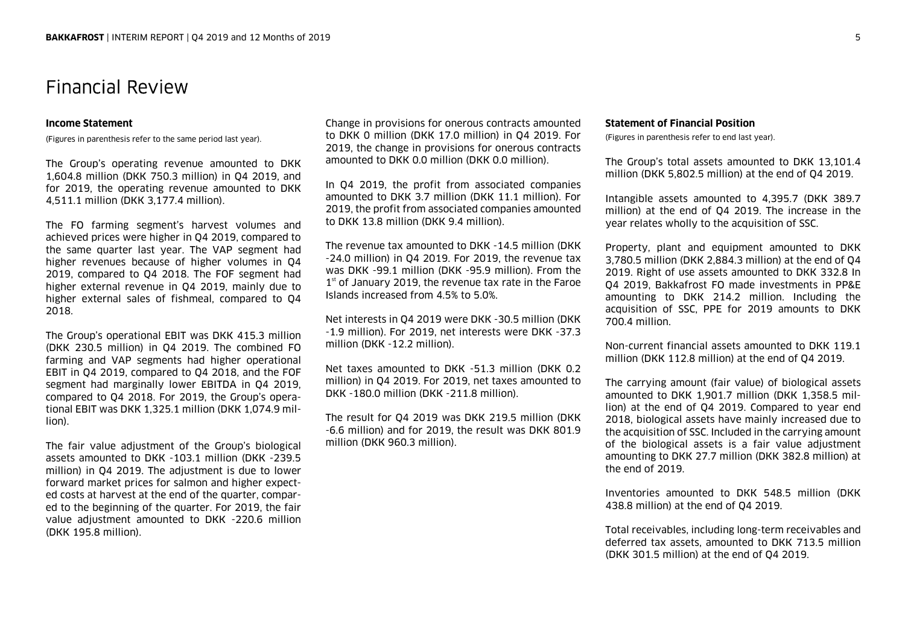### Financial Review

### **Income Statement**

(Figures in parenthesis refer to the same period last year).

The Group's operating revenue amounted to DKK 1,604.8 million (DKK 750.3 million) in Q4 2019, and for 2019, the operating revenue amounted to DKK 4,511.1 million (DKK 3,177.4 million).

The FO farming segment's harvest volumes and achieved prices were higher in Q4 2019, compared to the same quarter last year. The VAP segment had higher revenues because of higher volumes in Q4 2019, compared to Q4 2018. The FOF segment had higher external revenue in Q4 2019, mainly due to higher external sales of fishmeal, compared to Q4 2018.

The Group's operational EBIT was DKK 415.3 million (DKK 230.5 million) in Q4 2019. The combined FO farming and VAP segments had higher operational EBIT in Q4 2019, compared to Q4 2018, and the FOF segment had marginally lower EBITDA in Q4 2019, compared to Q4 2018. For 2019, the Group's operational EBIT was DKK 1,325.1 million (DKK 1,074.9 million).

The fair value adjustment of the Group's biological assets amounted to DKK -103.1 million (DKK -239.5 million) in Q4 2019. The adjustment is due to lower forward market prices for salmon and higher expected costs at harvest at the end of the quarter, compared to the beginning of the quarter. For 2019, the fair value adjustment amounted to DKK -220.6 million (DKK 195.8 million).

Change in provisions for onerous contracts amounted to DKK 0 million (DKK 17.0 million) in Q4 2019. For 2019, the change in provisions for onerous contracts amounted to DKK 0.0 million (DKK 0.0 million).

In Q4 2019, the profit from associated companies amounted to DKK 3.7 million (DKK 11.1 million). For 2019, the profit from associated companies amounted to DKK 13.8 million (DKK 9.4 million).

The revenue tax amounted to DKK -14.5 million (DKK -24.0 million) in Q4 2019. For 2019, the revenue tax was DKK -99.1 million (DKK -95.9 million). From the  $1<sup>st</sup>$  of January 2019, the revenue tax rate in the Faroe Islands increased from 4.5% to 5.0%.

Net interests in Q4 2019 were DKK -30.5 million (DKK -1.9 million). For 2019, net interests were DKK -37.3 million (DKK -12.2 million).

Net taxes amounted to DKK -51.3 million (DKK 0.2 million) in Q4 2019. For 2019, net taxes amounted to DKK -180.0 million (DKK -211.8 million).

The result for Q4 2019 was DKK 219.5 million (DKK -6.6 million) and for 2019, the result was DKK 801.9 million (DKK 960.3 million).

### **Statement of Financial Position**

(Figures in parenthesis refer to end last year).

The Group's total assets amounted to DKK 13,101.4 million (DKK 5,802.5 million) at the end of Q4 2019.

Intangible assets amounted to 4,395.7 (DKK 389.7 million) at the end of Q4 2019. The increase in the year relates wholly to the acquisition of SSC.

Property, plant and equipment amounted to DKK 3,780.5 million (DKK 2,884.3 million) at the end of Q4 2019. Right of use assets amounted to DKK 332.8 In Q4 2019, Bakkafrost FO made investments in PP&E amounting to DKK 214.2 million. Including the acquisition of SSC, PPE for 2019 amounts to DKK 700.4 million.

Non-current financial assets amounted to DKK 119.1 million (DKK 112.8 million) at the end of Q4 2019.

The carrying amount (fair value) of biological assets amounted to DKK 1,901.7 million (DKK 1,358.5 million) at the end of Q4 2019. Compared to year end 2018, biological assets have mainly increased due to the acquisition of SSC. Included in the carrying amount of the biological assets is a fair value adjustment amounting to DKK 27.7 million (DKK 382.8 million) at the end of 2019.

Inventories amounted to DKK 548.5 million (DKK 438.8 million) at the end of Q4 2019.

Total receivables, including long-term receivables and deferred tax assets, amounted to DKK 713.5 million (DKK 301.5 million) at the end of Q4 2019.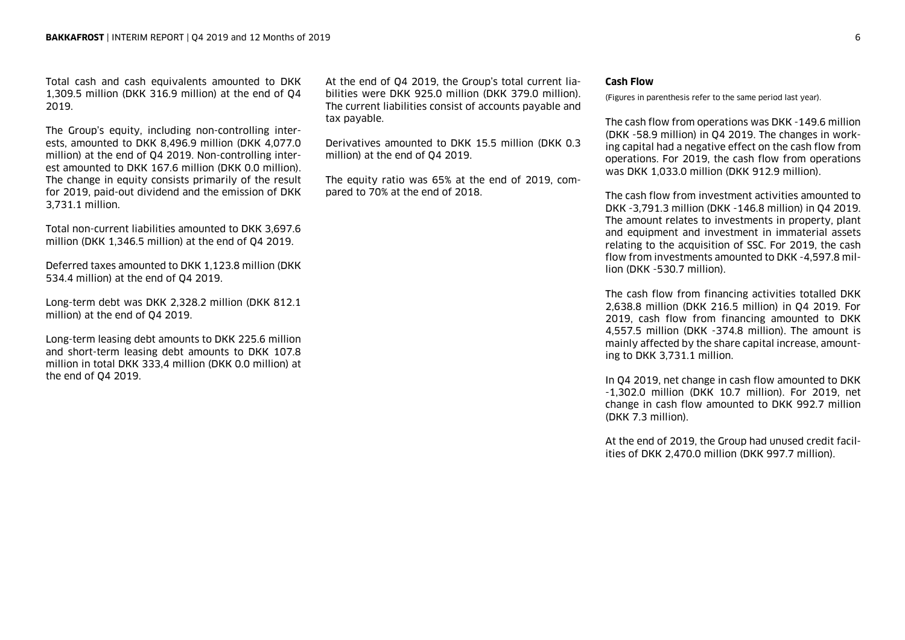Total cash and cash equivalents amounted to DKK 1,309.5 million (DKK 316.9 million) at the end of Q4 2019.

The Group's equity, including non-controlling interests, amounted to DKK 8,496.9 million (DKK 4,077.0 million) at the end of Q4 2019. Non-controlling interest amounted to DKK 167.6 million (DKK 0.0 million). The change in equity consists primarily of the result for 2019, paid-out dividend and the emission of DKK 3,731.1 million.

Total non-current liabilities amounted to DKK 3,697.6 million (DKK 1,346.5 million) at the end of Q4 2019.

Deferred taxes amounted to DKK 1,123.8 million (DKK 534.4 million) at the end of Q4 2019.

Long-term debt was DKK 2,328.2 million (DKK 812.1 million) at the end of Q4 2019.

Long-term leasing debt amounts to DKK 225.6 million and short-term leasing debt amounts to DKK 107.8 million in total DKK 333,4 million (DKK 0.0 million) at the end of Q4 2019.

At the end of Q4 2019, the Group's total current liabilities were DKK 925.0 million (DKK 379.0 million). The current liabilities consist of accounts payable and tax payable.

Derivatives amounted to DKK 15.5 million (DKK 0.3 million) at the end of Q4 2019.

The equity ratio was 65% at the end of 2019, compared to 70% at the end of 2018.

### **Cash Flow**

(Figures in parenthesis refer to the same period last year).

The cash flow from operations was DKK -149.6 million (DKK -58.9 million) in Q4 2019. The changes in working capital had a negative effect on the cash flow from operations. For 2019, the cash flow from operations was DKK 1,033.0 million (DKK 912.9 million).

The cash flow from investment activities amounted to DKK -3,791.3 million (DKK -146.8 million) in Q4 2019. The amount relates to investments in property, plant and equipment and investment in immaterial assets relating to the acquisition of SSC. For 2019, the cash flow from investments amounted to DKK -4,597.8 million (DKK -530.7 million).

The cash flow from financing activities totalled DKK 2,638.8 million (DKK 216.5 million) in Q4 2019. For 2019, cash flow from financing amounted to DKK 4,557.5 million (DKK -374.8 million). The amount is mainly affected by the share capital increase, amounting to DKK 3,731.1 million.

In Q4 2019, net change in cash flow amounted to DKK -1,302.0 million (DKK 10.7 million). For 2019, net change in cash flow amounted to DKK 992.7 million (DKK 7.3 million).

At the end of 2019, the Group had unused credit facilities of DKK 2,470.0 million (DKK 997.7 million).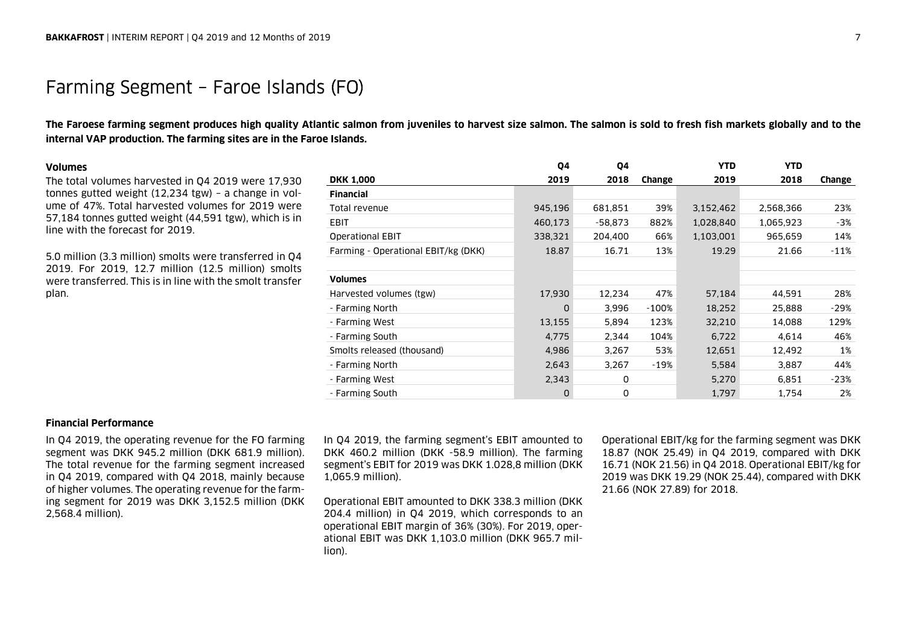### Farming Segment – Faroe Islands (FO)

**The Faroese farming segment produces high quality Atlantic salmon from juveniles to harvest size salmon. The salmon is sold to fresh fish markets globally and to the internal VAP production. The farming sites are in the Faroe Islands.** 

### **Volumes**

The total volumes harvested in Q4 2019 were 17,930 tonnes gutted weight (12,234 tgw) – a change in volume of 47%. Total harvested volumes for 2019 were 57,184 tonnes gutted weight (44,591 tgw), which is in line with the forecast for 2019.

5.0 million (3.3 million) smolts were transferred in Q4 2019. For 2019, 12.7 million (12.5 million) smolts were transferred. This is in line with the smolt transfer plan.

|                                     | 04       | 04        |         | <b>YTD</b> | <b>YTD</b> |        |
|-------------------------------------|----------|-----------|---------|------------|------------|--------|
| <b>DKK 1,000</b>                    | 2019     | 2018      | Change  | 2019       | 2018       | Change |
| <b>Financial</b>                    |          |           |         |            |            |        |
| Total revenue                       | 945,196  | 681,851   | 39%     | 3,152,462  | 2,568,366  | 23%    |
| <b>EBIT</b>                         | 460,173  | $-58,873$ | 882%    | 1,028,840  | 1,065,923  | -3%    |
| <b>Operational EBIT</b>             | 338,321  | 204,400   | 66%     | 1,103,001  | 965,659    | 14%    |
| Farming - Operational EBIT/kg (DKK) | 18.87    | 16.71     | 13%     | 19.29      | 21.66      | $-11%$ |
|                                     |          |           |         |            |            |        |
| <b>Volumes</b>                      |          |           |         |            |            |        |
| Harvested volumes (tgw)             | 17,930   | 12,234    | 47%     | 57,184     | 44,591     | 28%    |
| - Farming North                     | $\Omega$ | 3.996     | $-100%$ | 18,252     | 25,888     | $-29%$ |
| - Farming West                      | 13,155   | 5,894     | 123%    | 32,210     | 14,088     | 129%   |
| - Farming South                     | 4,775    | 2,344     | 104%    | 6,722      | 4,614      | 46%    |
| Smolts released (thousand)          | 4,986    | 3,267     | 53%     | 12,651     | 12,492     | 1%     |
| - Farming North                     | 2,643    | 3,267     | -19%    | 5,584      | 3,887      | 44%    |
| - Farming West                      | 2,343    | 0         |         | 5,270      | 6,851      | $-23%$ |
| - Farming South                     | 0        | 0         |         | 1,797      | 1,754      | 2%     |

### **Financial Performance**

In Q4 2019, the operating revenue for the FO farming segment was DKK 945.2 million (DKK 681.9 million). The total revenue for the farming segment increased in Q4 2019, compared with Q4 2018, mainly because of higher volumes. The operating revenue for the farming segment for 2019 was DKK 3,152.5 million (DKK 2,568.4 million).

In Q4 2019, the farming segment's EBIT amounted to DKK 460.2 million (DKK -58.9 million). The farming segment's EBIT for 2019 was DKK 1.028,8 million (DKK 1,065.9 million).

Operational EBIT amounted to DKK 338.3 million (DKK 204.4 million) in Q4 2019, which corresponds to an operational EBIT margin of 36% (30%). For 2019, operational EBIT was DKK 1,103.0 million (DKK 965.7 million).

Operational EBIT/kg for the farming segment was DKK 18.87 (NOK 25.49) in Q4 2019, compared with DKK 16.71 (NOK 21.56) in Q4 2018. Operational EBIT/kg for 2019 was DKK 19.29 (NOK 25.44), compared with DKK 21.66 (NOK 27.89) for 2018.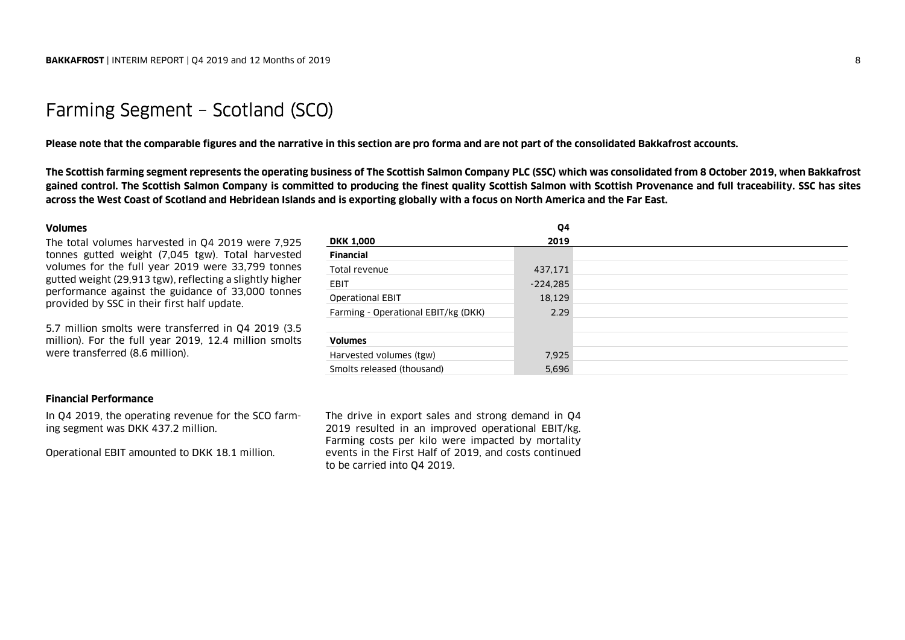### Farming Segment – Scotland (SCO)

**Please note that the comparable figures and the narrative in this section are pro forma and are not part of the consolidated Bakkafrost accounts.** 

**The Scottish farming segment represents the operating business of The Scottish Salmon Company PLC (SSC) which was consolidated from 8 October 2019, when Bakkafrost gained control. The Scottish Salmon Company is committed to producing the finest quality Scottish Salmon with Scottish Provenance and full traceability. SSC has sites across the West Coast of Scotland and Hebridean Islands and is exporting globally with a focus on North America and the Far East.** 

### **Volumes**

The total volumes harvested in Q4 2019 were 7,925 tonnes gutted weight (7,045 tgw). Total harvested volumes for the full year 2019 were 33,799 tonnes gutted weight (29,913 tgw), reflecting a slightly higher performance against the guidance of 33,000 tonnes provided by SSC in their first half update.

5.7 million smolts were transferred in Q4 2019 (3.5 million). For the full year 2019, 12.4 million smolts were transferred (8.6 million).

### **DKK 1,000 2019 Financial** Total revenue 437,171 FBIT -224,285 Operational EBIT 18,129 Farming - Operational EBIT/kg (DKK) 2.29 **Volumes** Harvested volumes (tgw) 1.925 Smolts released (thousand) 5,696

**Q4** 

### **Financial Performance**

In Q4 2019, the operating revenue for the SCO farming segment was DKK 437.2 million.

Operational EBIT amounted to DKK 18.1 million.

The drive in export sales and strong demand in Q4 2019 resulted in an improved operational EBIT/kg. Farming costs per kilo were impacted by mortality events in the First Half of 2019, and costs continued to be carried into Q4 2019.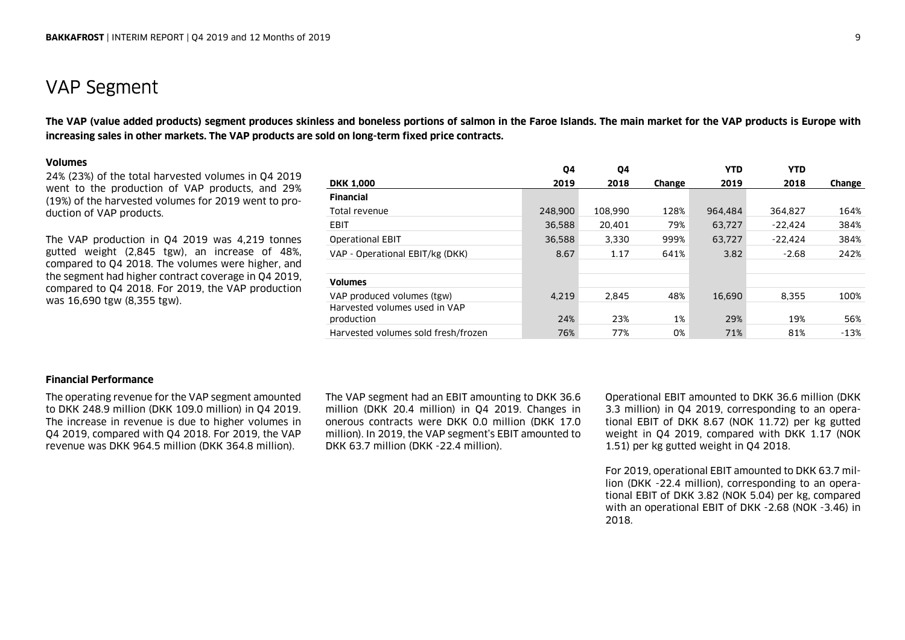### VAP Segment

**The VAP (value added products) segment produces skinless and boneless portions of salmon in the Faroe Islands. The main market for the VAP products is Europe with increasing sales in other markets. The VAP products are sold on long-term fixed price contracts.**

### **Volumes**

24% (23%) of the total harvested volumes in Q4 2019 went to the production of VAP products, and 29% (19%) of the harvested volumes for 2019 went to production of VAP products.

The VAP production in Q4 2019 was 4,219 tonnes gutted weight (2,845 tgw), an increase of 48%, compared to Q4 2018. The volumes were higher, and the segment had higher contract coverage in Q4 2019, compared to Q4 2018. For 2019, the VAP production was 16,690 tgw (8,355 tgw).

|                                     | 04      | 04      |               | <b>YTD</b> | <b>YTD</b> |        |
|-------------------------------------|---------|---------|---------------|------------|------------|--------|
| <b>DKK 1,000</b>                    | 2019    | 2018    | <b>Change</b> | 2019       | 2018       | Change |
| <b>Financial</b>                    |         |         |               |            |            |        |
| Total revenue                       | 248,900 | 108,990 | 128%          | 964,484    | 364.827    | 164%   |
| <b>EBIT</b>                         | 36.588  | 20.401  | 79%           | 63,727     | $-22.424$  | 384%   |
| <b>Operational EBIT</b>             | 36,588  | 3,330   | 999%          | 63,727     | $-22.424$  | 384%   |
| VAP - Operational EBIT/kg (DKK)     | 8.67    | 1.17    | 641%          | 3.82       | $-2.68$    | 242%   |
|                                     |         |         |               |            |            |        |
| <b>Volumes</b>                      |         |         |               |            |            |        |
| VAP produced volumes (tgw)          | 4.219   | 2.845   | 48%           | 16,690     | 8.355      | 100%   |
| Harvested volumes used in VAP       |         |         |               |            |            |        |
| production                          | 24%     | 23%     | $1\%$         | 29%        | 19%        | 56%    |
| Harvested volumes sold fresh/frozen | 76%     | 77%     | 0%            | 71%        | 81%        | $-13%$ |

### **Financial Performance**

The operating revenue for the VAP segment amounted to DKK 248.9 million (DKK 109.0 million) in Q4 2019. The increase in revenue is due to higher volumes in Q4 2019, compared with Q4 2018. For 2019, the VAP revenue was DKK 964.5 million (DKK 364.8 million).

The VAP segment had an EBIT amounting to DKK 36.6 million (DKK 20.4 million) in Q4 2019. Changes in onerous contracts were DKK 0.0 million (DKK 17.0 million). In 2019, the VAP segment's EBIT amounted to DKK 63.7 million (DKK -22.4 million).

Operational EBIT amounted to DKK 36.6 million (DKK 3.3 million) in Q4 2019, corresponding to an operational EBIT of DKK 8.67 (NOK 11.72) per kg gutted weight in Q4 2019, compared with DKK 1.17 (NOK 1.51) per kg gutted weight in Q4 2018.

For 2019, operational EBIT amounted to DKK 63.7 million (DKK -22.4 million), corresponding to an operational EBIT of DKK 3.82 (NOK 5.04) per kg, compared with an operational EBIT of DKK -2.68 (NOK -3.46) in 2018.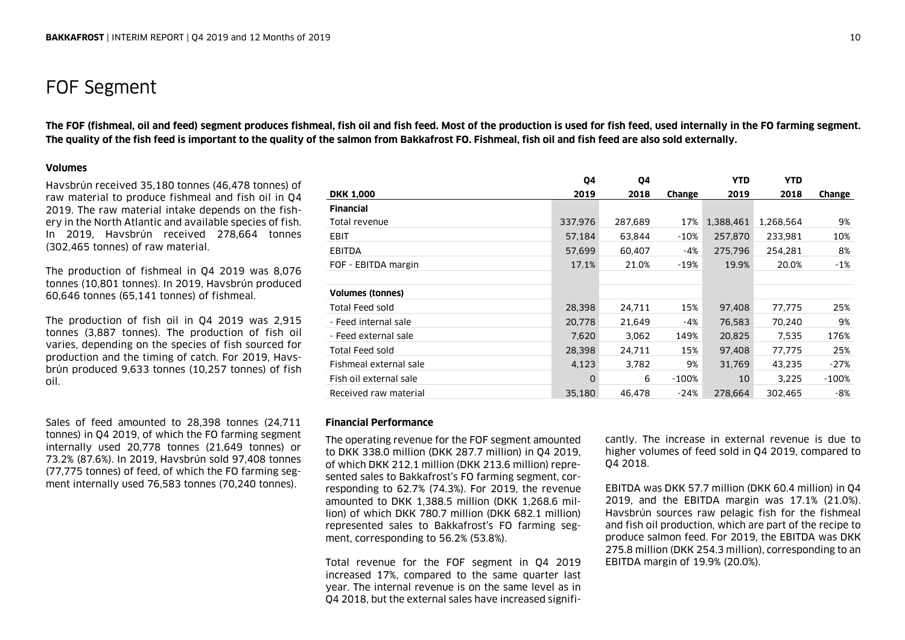### FOF Segment

**The FOF (fishmeal, oil and feed) segment produces fishmeal, fish oil and fish feed. Most of the production is used for fish feed, used internally in the FO farming segment. The quality of the fish feed is important to the quality of the salmon from Bakkafrost FO. Fishmeal, fish oil and fish feed are also sold externally.** 

### **Volumes**

Havsbrún received 35,180 tonnes (46,478 tonnes) of raw material to produce fishmeal and fish oil in Q4 2019. The raw material intake depends on the fishery in the North Atlantic and available species of fish. In 2019, Havsbrún received 278,664 tonnes (302,465 tonnes) of raw material.

The production of fishmeal in Q4 2019 was 8,076 tonnes (10,801 tonnes). In 2019, Havsbrún produced 60,646 tonnes (65,141 tonnes) of fishmeal.

The production of fish oil in Q4 2019 was 2,915 tonnes (3,887 tonnes). The production of fish oil varies, depending on the species of fish sourced for production and the timing of catch. For 2019, Havsbrún produced 9,633 tonnes (10,257 tonnes) of fish oil.

Sales of feed amounted to 28,398 tonnes (24,711 tonnes) in Q4 2019, of which the FO farming segment internally used 20,778 tonnes (21,649 tonnes) or 73.2% (87.6%). In 2019, Havsbrún sold 97,408 tonnes (77,775 tonnes) of feed, of which the FO farming segment internally used 76,583 tonnes (70,240 tonnes).

|                        | Q4      | 04      |          | <b>YTD</b> | <b>YTD</b> |         |
|------------------------|---------|---------|----------|------------|------------|---------|
| DKK 1,000              | 2019    | 2018    | Change   | 2019       | 2018       | Change  |
| Financial              |         |         |          |            |            |         |
| Total revenue          | 337,976 | 287,689 | 17%      | 1,388,461  | 1,268,564  | 9%      |
| EBIT                   | 57,184  | 63,844  | -10%     | 257,870    | 233,981    | 10%     |
| EBITDA                 | 57,699  | 60,407  | -4%      | 275,796    | 254,281    | 8%      |
| FOF - EBITDA margin    | 17.1%   | 21.0%   | -19%     | 19.9%      | 20.0%      | -1%     |
|                        |         |         |          |            |            |         |
| Volumes (tonnes)       |         |         |          |            |            |         |
| Total Feed sold        | 28,398  | 24,711  | 15%      | 97,408     | 77,775     | 25%     |
| - Feed internal sale   | 20,778  | 21,649  | -4%      | 76,583     | 70,240     | 9%      |
| - Feed external sale   | 7,620   | 3,062   | 149%     | 20,825     | 7,535      | 176%    |
| Total Feed sold        | 28,398  | 24,711  | 15%      | 97,408     | 77,775     | 25%     |
| Fishmeal external sale | 4,123   | 3,782   | 9%       | 31,769     | 43,235     | $-27%$  |
| Fish oil external sale | 0       | 6       | $-100\%$ | 10         | 3,225      | $-100%$ |
| Received raw material  | 35,180  | 46,478  | -24%     | 278,664    | 302,465    | -8%     |
|                        |         |         |          |            |            |         |

### **Financial Performance**

The operating revenue for the FOF segment amounted to DKK 338.0 million (DKK 287.7 million) in Q4 2019, of which DKK 212.1 million (DKK 213.6 million) represented sales to Bakkafrost's FO farming segment, corresponding to 62.7% (74.3%). For 2019, the revenue amounted to DKK 1,388.5 million (DKK 1,268.6 million) of which DKK 780.7 million (DKK 682.1 million) represented sales to Bakkafrost's FO farming segment, corresponding to 56.2% (53.8%).

Total revenue for the FOF segment in Q4 2019 increased 17%, compared to the same quarter last year. The internal revenue is on the same level as in Q4 2018, but the external sales have increased signifi-

cantly. The increase in external revenue is due to<br>higher volumes of feed sold in Q4 2019, compared to<br>Q4 2018.<br>EBITDA was DKK 57.7 million (DKK 60.4 million) in Q4<br>2019, and the EBITDA margin was 17.1% (21.0%).<br>Havsbrún s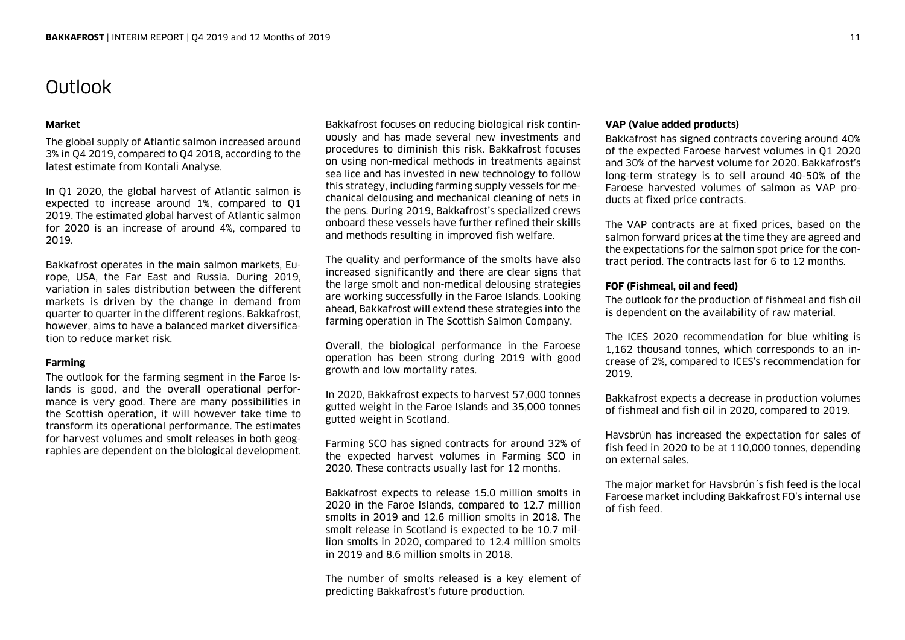# Outlook

### **Market**

The global supply of Atlantic salmon increased around 3% in Q4 2019, compared to Q4 2018, according to the latest estimate from Kontali Analyse.

In Q1 2020, the global harvest of Atlantic salmon is expected to increase around 1%, compared to Q1 2019. The estimated global harvest of Atlantic salmon for 2020 is an increase of around 4%, compared to 2019.

Bakkafrost operates in the main salmon markets, Europe, USA, the Far East and Russia. During 2019, variation in sales distribution between the different markets is driven by the change in demand from quarter to quarter in the different regions. Bakkafrost, however, aims to have a balanced market diversification to reduce market risk.

### **Farming**

The outlook for the farming segment in the Faroe Islands is good, and the overall operational performance is very good. There are many possibilities in the Scottish operation, it will however take time to transform its operational performance. The estimates for harvest volumes and smolt releases in both geographies are dependent on the biological development.

Bakkafrost focuses on reducing biological risk continuously and has made several new investments and procedures to diminish this risk. Bakkafrost focuses on using non-medical methods in treatments against sea lice and has invested in new technology to follow this strategy, including farming supply vessels for mechanical delousing and mechanical cleaning of nets in the pens. During 2019, Bakkafrost's specialized crews onboard these vessels have further refined their skills and methods resulting in improved fish welfare.

The quality and performance of the smolts have also increased significantly and there are clear signs that the large smolt and non-medical delousing strategies are working successfully in the Faroe Islands. Looking ahead, Bakkafrost will extend these strategies into the farming operation in The Scottish Salmon Company.

Overall, the biological performance in the Faroese operation has been strong during 2019 with good growth and low mortality rates.

In 2020, Bakkafrost expects to harvest 57,000 tonnes gutted weight in the Faroe Islands and 35,000 tonnes gutted weight in Scotland.

Farming SCO has signed contracts for around 32% of the expected harvest volumes in Farming SCO in 2020. These contracts usually last for 12 months.

Bakkafrost expects to release 15.0 million smolts in 2020 in the Faroe Islands, compared to 12.7 million smolts in 2019 and 12.6 million smolts in 2018. The smolt release in Scotland is expected to be 10.7 million smolts in 2020, compared to 12.4 million smolts in 2019 and 8.6 million smolts in 2018.

The number of smolts released is a key element of predicting Bakkafrost's future production.

### **VAP (Value added products)**

Bakkafrost has signed contracts covering around 40% of the expected Faroese harvest volumes in Q1 2020 and 30% of the harvest volume for 2020. Bakkafrost's long-term strategy is to sell around 40-50% of the Faroese harvested volumes of salmon as VAP products at fixed price contracts.

The VAP contracts are at fixed prices, based on the salmon forward prices at the time they are agreed and the expectations for the salmon spot price for the contract period. The contracts last for 6 to 12 months.

### **FOF (Fishmeal, oil and feed)**

The outlook for the production of fishmeal and fish oil is dependent on the availability of raw material.

The ICES 2020 recommendation for blue whiting is 1,162 thousand tonnes, which corresponds to an increase of 2%, compared to ICES's recommendation for 2019.

Bakkafrost expects a decrease in production volumes of fishmeal and fish oil in 2020, compared to 2019.

Havsbrún has increased the expectation for sales of fish feed in 2020 to be at 110,000 tonnes, depending on external sales.

The major market for Havsbrún´s fish feed is the local Faroese market including Bakkafrost FO's internal use of fish feed.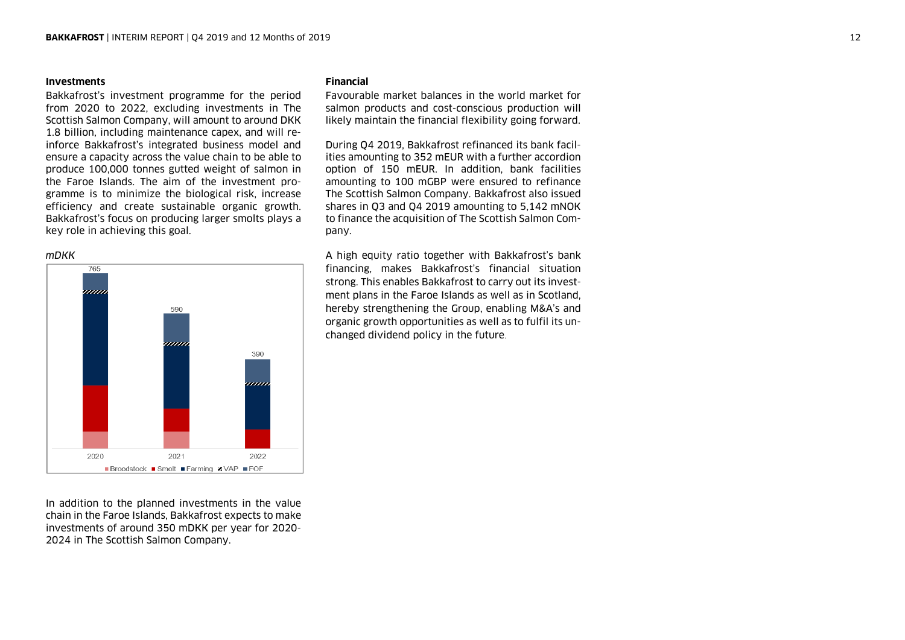### **Investments**

Bakkafrost's investment programme for the period from 2020 to 2022, excluding investments in The Scottish Salmon Company, will amount to around DKK 1.8 billion, including maintenance capex, and will reinforce Bakkafrost's integrated business model and ensure a capacity across the value chain to be able to produce 100,000 tonnes gutted weight of salmon in the Faroe Islands. The aim of the investment programme is to minimize the biological risk, increase efficiency and create sustainable organic growth. Bakkafrost's focus on producing larger smolts plays a key role in achieving this goal.





In addition to the planned investments in the value chain in the Faroe Islands, Bakkafrost expects to make investments of around 350 mDKK per year for 2020- 2024 in The Scottish Salmon Company.

### **Financial**

Favourable market balances in the world market for salmon products and cost-conscious production will likely maintain the financial flexibility going forward.

During Q4 2019, Bakkafrost refinanced its bank facilities amounting to 352 mEUR with a further accordion option of 150 mEUR. In addition, bank facilities amounting to 100 mGBP were ensured to refinance The Scottish Salmon Company. Bakkafrost also issued shares in Q3 and Q4 2019 amounting to 5,142 mNOK to finance the acquisition of The Scottish Salmon Company.

A high equity ratio together with Bakkafrost's bank financing, makes Bakkafrost's financial situation strong. This enables Bakkafrost to carry out its investment plans in the Faroe Islands as well as in Scotland, hereby strengthening the Group, enabling M&A's and organic growth opportunities as well as to fulfil its unchanged dividend policy in the future.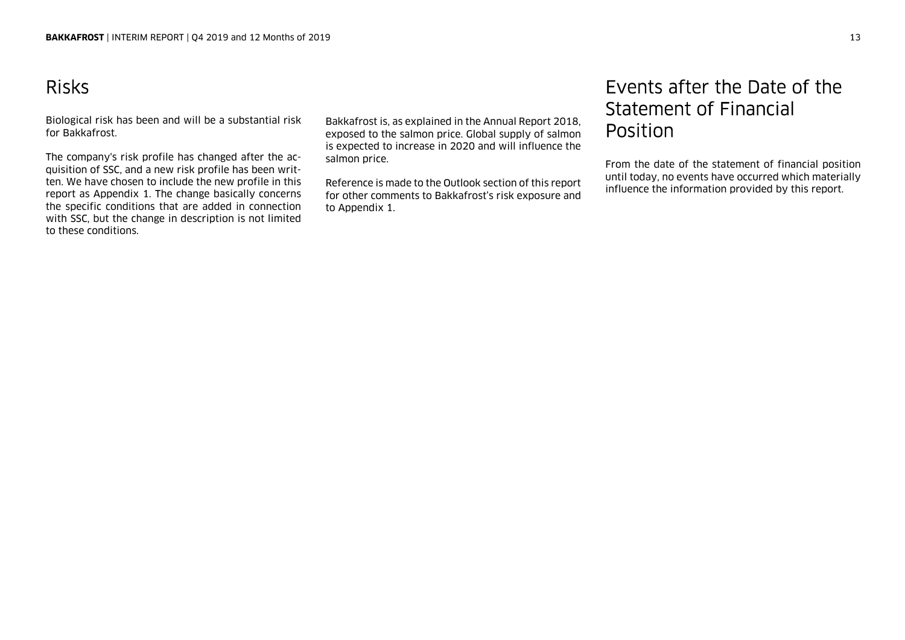# Risks

Biological risk has been and will be a substantial risk for Bakkafrost.

The company's risk profile has changed after the acquisition of SSC, and a new risk profile has been written. We have chosen to include the new profile in this report as Appendix 1. The change basically concerns the specific conditions that are added in connection with SSC, but the change in description is not limited to these conditions.

Bakkafrost is, as explained in the Annual Report 2018, exposed to the salmon price. Global supply of salmon is expected to increase in 2020 and will influence the salmon price.

Reference is made to the Outlook section of this report for other comments to Bakkafrost's risk exposure and to Appendix 1.

## Events after the Date of the Statement of Financial Position

From the date of the statement of financial position until today, no events have occurred which materially influence the information provided by this report.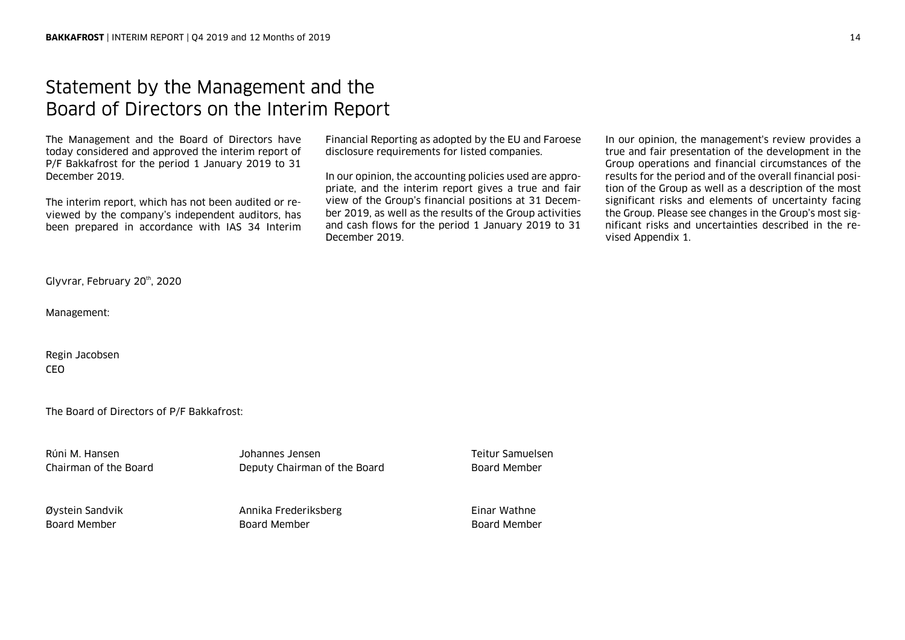### Statement by the Management and the Board of Directors on the Interim Report

The Management and the Board of Directors have today considered and approved the interim report of P/F Bakkafrost for the period 1 January 2019 to 31 December 2019.

The interim report, which has not been audited or reviewed by the company's independent auditors, has been prepared in accordance with IAS 34 Interim

Financial Reporting as adopted by the EU and Faroese disclosure requirements for listed companies.

In our opinion, the accounting policies used are appropriate, and the interim report gives a true and fair view of the Group's financial positions at 31 December 2019, as well as the results of the Group activities and cash flows for the period 1 January 2019 to 31 December 2019.

In our opinion, the management's review provides a true and fair presentation of the development in the Group operations and financial circumstances of the results for the period and of the overall financial position of the Group as well as a description of the most significant risks and elements of uncertainty facing the Group. Please see changes in the Group's most significant risks and uncertainties described in the revised Appendix 1.

Glyvrar, February 20th, 2020

Management:

Regin Jacobsen CEO

The Board of Directors of P/F Bakkafrost:

Rúni M. Hansen Johannes Jensen Teitur Samuelsen Chairman of the Board Deputy Chairman of the Board Board Member

Øystein Sandvik Annika Frederiksberg Einar Wathne Board Member Board Member Board Member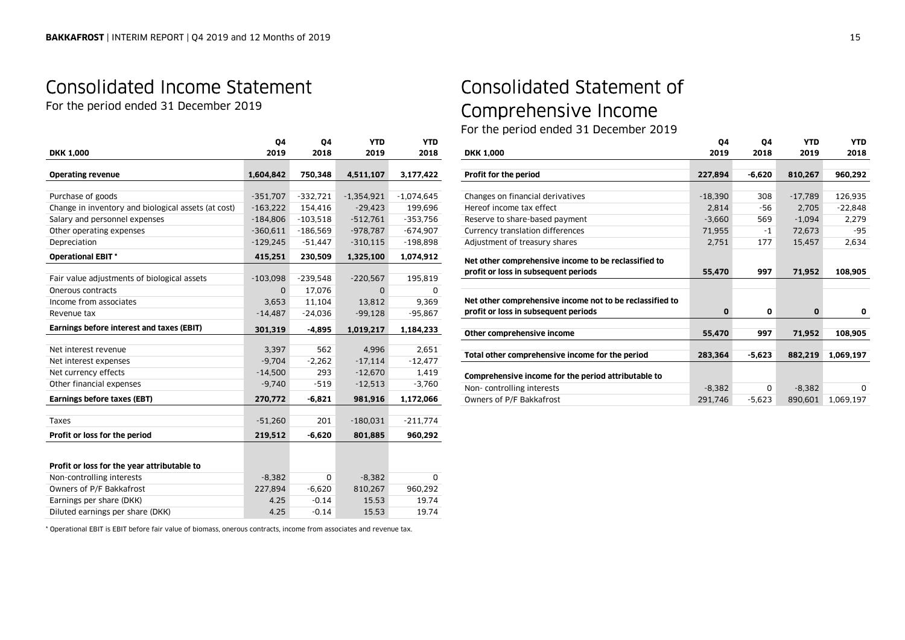# Consolidated Income Statement

For the period ended 31 December 2019

|                                                     | Q4         | Q4         | <b>YTD</b>   | <b>YTD</b>   |
|-----------------------------------------------------|------------|------------|--------------|--------------|
| <b>DKK 1,000</b>                                    | 2019       | 2018       | 2019         | 2018         |
| <b>Operating revenue</b>                            | 1,604,842  | 750,348    | 4,511,107    | 3,177,422    |
|                                                     |            |            |              |              |
| Purchase of goods                                   | $-351,707$ | $-332,721$ | $-1,354,921$ | $-1,074,645$ |
| Change in inventory and biological assets (at cost) | $-163,222$ | 154,416    | $-29,423$    | 199,696      |
| Salary and personnel expenses                       | $-184,806$ | $-103,518$ | $-512,761$   | $-353,756$   |
| Other operating expenses                            | $-360,611$ | $-186,569$ | $-978,787$   | $-674,907$   |
| Depreciation                                        | $-129,245$ | $-51,447$  | $-310,115$   | $-198,898$   |
| <b>Operational EBIT*</b>                            | 415,251    | 230,509    | 1,325,100    | 1,074,912    |
|                                                     |            |            |              |              |
| Fair value adjustments of biological assets         | $-103,098$ | $-239,548$ | $-220,567$   | 195,819      |
| Onerous contracts                                   | $\Omega$   | 17,076     | $\Omega$     | 0            |
| Income from associates                              | 3,653      | 11,104     | 13,812       | 9,369        |
| Revenue tax                                         | $-14,487$  | $-24,036$  | $-99,128$    | $-95,867$    |
| Earnings before interest and taxes (EBIT)           | 301,319    | $-4,895$   | 1,019,217    | 1,184,233    |
|                                                     |            |            |              |              |
| Net interest revenue                                | 3,397      | 562        | 4,996        | 2,651        |
| Net interest expenses                               | $-9,704$   | $-2,262$   | $-17,114$    | $-12,477$    |
| Net currency effects                                | $-14,500$  | 293        | $-12,670$    | 1,419        |
| Other financial expenses                            | $-9,740$   | $-519$     | $-12,513$    | $-3,760$     |
| Earnings before taxes (EBT)                         | 270,772    | $-6,821$   | 981,916      | 1,172,066    |
| Taxes                                               | $-51,260$  | 201        | $-180,031$   | $-211,774$   |
| Profit or loss for the period                       | 219,512    | $-6.620$   | 801.885      | 960,292      |
|                                                     |            |            |              |              |
| Profit or loss for the year attributable to         |            |            |              |              |
| Non-controlling interests                           | $-8,382$   | 0          | $-8,382$     | 0            |
| Owners of P/F Bakkafrost                            | 227,894    | $-6,620$   | 810,267      | 960,292      |
| Earnings per share (DKK)                            | 4.25       | $-0.14$    | 15.53        | 19.74        |
| Diluted earnings per share (DKK)                    | 4.25       | $-0.14$    | 15.53        | 19.74        |

\* Operational EBIT is EBIT before fair value of biomass, onerous contracts, income from associates and revenue tax.

# Consolidated Statement of Comprehensive Income

For the period ended 31 December 2019

|                                                          | 04        | 04       | <b>YTD</b>   | <b>YTD</b> |
|----------------------------------------------------------|-----------|----------|--------------|------------|
| <b>DKK 1,000</b>                                         | 2019      | 2018     | 2019         | 2018       |
|                                                          |           |          |              |            |
| Profit for the period                                    | 227,894   | $-6,620$ | 810,267      | 960,292    |
|                                                          |           |          |              |            |
| Changes on financial derivatives                         | $-18,390$ | 308      | $-17.789$    | 126,935    |
| Hereof income tax effect                                 | 2,814     | -56      | 2,705        | $-22,848$  |
| Reserve to share-based payment                           | $-3.660$  | 569      | $-1,094$     | 2,279      |
| Currency translation differences                         | 71,955    | $-1$     | 72,673       | -95        |
| Adjustment of treasury shares                            | 2,751     | 177      | 15,457       | 2,634      |
|                                                          |           |          |              |            |
| Net other comprehensive income to be reclassified to     |           |          |              |            |
| profit or loss in subsequent periods                     | 55,470    | 997      | 71,952       | 108,905    |
|                                                          |           |          |              |            |
| Net other comprehensive income not to be reclassified to |           |          |              |            |
| profit or loss in subsequent periods                     | 0         | 0        | $\mathbf{0}$ | 0          |
|                                                          |           |          |              |            |
| Other comprehensive income                               | 55,470    | 997      | 71,952       | 108,905    |
|                                                          |           |          |              |            |
| Total other comprehensive income for the period          | 283,364   | $-5.623$ | 882,219      | 1,069,197  |
|                                                          |           |          |              |            |
| Comprehensive income for the period attributable to      |           |          |              |            |
| Non-controlling interests                                | $-8,382$  | 0        | $-8,382$     | 0          |
| Owners of P/F Bakkafrost                                 | 291,746   | $-5,623$ | 890,601      | 1.069.197  |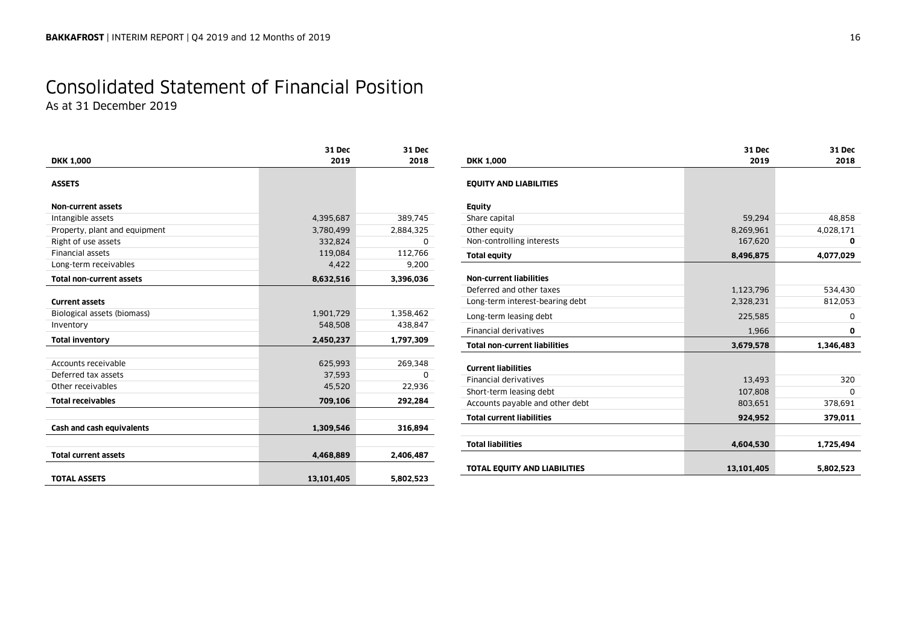# Consolidated Statement of Financial Position

As at 31 December 2019

| <b>DKK 1,000</b>                | 31 Dec<br>2019 | 31 Dec<br>2018 |
|---------------------------------|----------------|----------------|
|                                 |                |                |
| <b>ASSETS</b>                   |                |                |
| <b>Non-current assets</b>       |                |                |
| Intangible assets               | 4,395,687      | 389,745        |
| Property, plant and equipment   | 3,780,499      | 2,884,325      |
| Right of use assets             | 332,824        | 0              |
| <b>Financial assets</b>         | 119,084        | 112,766        |
| Long-term receivables           | 4,422          | 9,200          |
| <b>Total non-current assets</b> | 8,632,516      | 3,396,036      |
|                                 |                |                |
| <b>Current assets</b>           |                |                |
| Biological assets (biomass)     | 1,901,729      | 1,358,462      |
| Inventory                       | 548,508        | 438,847        |
| <b>Total inventory</b>          | 2,450,237      | 1,797,309      |
|                                 |                |                |
| Accounts receivable             | 625,993        | 269,348        |
| Deferred tax assets             | 37,593         | <sup>0</sup>   |
| Other receivables               | 45,520         | 22,936         |
| <b>Total receivables</b>        | 709,106        | 292,284        |
|                                 |                |                |
| Cash and cash equivalents       | 1,309,546      | 316,894        |
|                                 |                |                |
| <b>Total current assets</b>     | 4,468,889      | 2,406,487      |
| <b>TOTAL ASSETS</b>             | 13,101,405     | 5,802,523      |
|                                 |                |                |

| <b>DKK 1,000</b>                     | 31 Dec<br>2019 | 31 Dec<br>2018 |
|--------------------------------------|----------------|----------------|
| <b>EQUITY AND LIABILITIES</b>        |                |                |
| Equity                               |                |                |
| Share capital                        | 59,294         | 48,858         |
| Other equity                         | 8,269,961      | 4,028,171      |
| Non-controlling interests            | 167,620        | 0              |
| Total equity                         | 8,496,875      | 4,077,029      |
| <b>Non-current liabilities</b>       |                |                |
| Deferred and other taxes             | 1,123,796      | 534,430        |
| Long-term interest-bearing debt      | 2,328,231      | 812,053        |
| Long-term leasing debt               | 225,585        | 0              |
| Financial derivatives                | 1,966          | 0              |
| <b>Total non-current liabilities</b> | 3,679,578      | 1,346,483      |
| <b>Current liabilities</b>           |                |                |
| <b>Financial derivatives</b>         | 13,493         | 320            |
| Short-term leasing debt              | 107,808        | 0              |
| Accounts payable and other debt      | 803,651        | 378,691        |
| <b>Total current liabilities</b>     | 924,952        | 379,011        |
| Total liabilities                    | 4.604.530      | 1,725,494      |
| TOTAL EQUITY AND LIABILITIES         | 13,101,405     | 5,802,523      |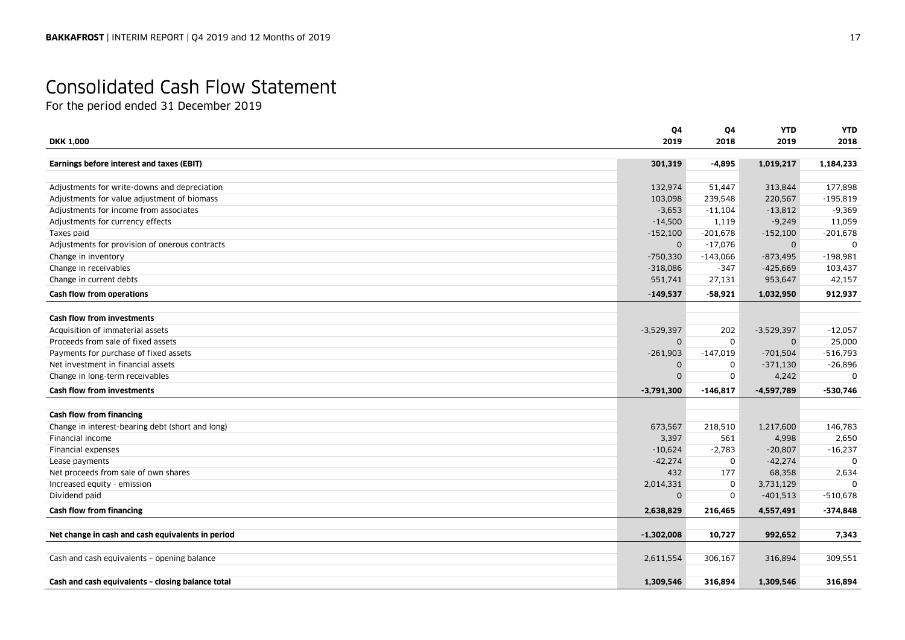# Consolidated Cash Flow Statement

For the period ended 31 December 2019

|                                                   | Q4           | Q4         | <b>YTD</b>   | <b>YTD</b>   |
|---------------------------------------------------|--------------|------------|--------------|--------------|
| <b>DKK 1,000</b>                                  | 2019         | 2018       | 2019         | 2018         |
| Earnings before interest and taxes (EBIT)         | 301,319      | $-4,895$   | 1,019,217    | 1,184,233    |
|                                                   |              |            |              |              |
| Adjustments for write-downs and depreciation      | 132,974      | 51,447     | 313,844      | 177,898      |
| Adjustments for value adjustment of biomass       | 103,098      | 239,548    | 220,567      | $-195,819$   |
| Adjustments for income from associates            | $-3,653$     | $-11,104$  | $-13,812$    | $-9,369$     |
| Adjustments for currency effects                  | $-14,500$    | 1,119      | $-9,249$     | 11,059       |
| Taxes paid                                        | $-152,100$   | $-201,678$ | $-152,100$   | $-201,678$   |
| Adjustments for provision of onerous contracts    | 0            | $-17,076$  | $\Omega$     | <sup>0</sup> |
| Change in inventory                               | $-750,330$   | $-143,066$ | $-873,495$   | $-198,981$   |
| Change in receivables                             | $-318,086$   | $-347$     | $-425,669$   | 103,437      |
| Change in current debts                           | 551,741      | 27,131     | 953,647      | 42,157       |
| Cash flow from operations                         | $-149,537$   | $-58,921$  | 1,032,950    | 912,937      |
|                                                   |              |            |              |              |
| <b>Cash flow from investments</b>                 |              |            |              |              |
| Acquisition of immaterial assets                  | $-3,529,397$ | 202        | $-3,529,397$ | $-12,057$    |
| Proceeds from sale of fixed assets                | 0            | $\Omega$   | $\mathbf 0$  | 25,000       |
| Payments for purchase of fixed assets             | $-261,903$   | $-147,019$ | $-701,504$   | $-516,793$   |
| Net investment in financial assets                | 0            | 0          | $-371,130$   | $-26,896$    |
| Change in long-term receivables                   | 0            | 0          | 4,242        | 0            |
| <b>Cash flow from investments</b>                 | $-3,791,300$ | $-146,817$ | $-4,597,789$ | $-530,746$   |
| Cash flow from financing                          |              |            |              |              |
| Change in interest-bearing debt (short and long)  | 673,567      | 218,510    | 1,217,600    | 146,783      |
| Financial income                                  | 3,397        | 561        | 4,998        | 2,650        |
| Financial expenses                                | $-10,624$    | $-2,783$   | $-20,807$    | $-16,237$    |
| Lease payments                                    | $-42,274$    | 0          | $-42,274$    | $\Omega$     |
| Net proceeds from sale of own shares              | 432          | 177        | 68,358       | 2,634        |
| Increased equity - emission                       | 2,014,331    | 0          | 3,731,129    | <sup>0</sup> |
| Dividend paid                                     | 0            | 0          | $-401,513$   | $-510,678$   |
| Cash flow from financing                          | 2,638,829    | 216,465    | 4,557,491    | $-374,848$   |
|                                                   |              |            |              |              |
| Net change in cash and cash equivalents in period | $-1,302,008$ | 10,727     | 992,652      | 7,343        |
|                                                   |              |            |              |              |
| Cash and cash equivalents - opening balance       | 2,611,554    | 306,167    | 316,894      | 309,551      |
| Cash and cash equivalents - closing balance total | 1,309,546    | 316,894    | 1,309,546    | 316,894      |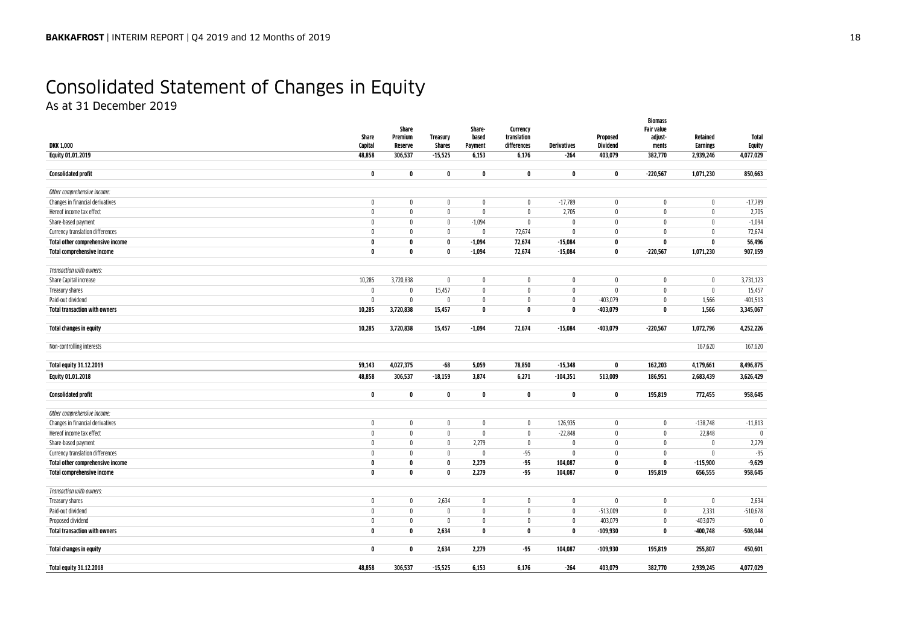# Consolidated Statement of Changes in Equity

As at 31 December 2019

|                                      |                  | Share              |                           | Share-           | Currency                   |                    |                             | <b>Biomass</b><br><b>Fair value</b> |                             |                               |
|--------------------------------------|------------------|--------------------|---------------------------|------------------|----------------------------|--------------------|-----------------------------|-------------------------------------|-----------------------------|-------------------------------|
| <b>DKK 1,000</b>                     | Share<br>Capital | Premium<br>Reserve | Treasury<br><b>Shares</b> | based<br>Payment | translation<br>differences | <b>Derivatives</b> | Proposed<br><b>Dividend</b> | adjust-<br>ments                    | Retained<br><b>Earnings</b> | <b>Total</b><br><b>Equity</b> |
| <b>Equity 01.01.2019</b>             | 48,858           | 306,537            | $-15,525$                 | 6,153            | 6,176                      | $-264$             | 403,079                     | 382,770                             | 2,939,246                   | 4,077,029                     |
|                                      |                  |                    |                           |                  |                            |                    |                             |                                     |                             |                               |
| <b>Consolidated profit</b>           | $\mathbf 0$      | 0                  | 0                         | $\mathbf 0$      | 0                          | $\mathbf 0$        | $\mathbf 0$                 | $-220,567$                          | 1,071,230                   | 850,663                       |
| Other comprehensive income:          |                  |                    |                           |                  |                            |                    |                             |                                     |                             |                               |
| Changes in financial derivatives     | $\mathbf 0$      | $\mathbf 0$        | $\mathbf 0$               | $\mathbf 0$      | $\mathbf 0$                | $-17,789$          | $\mathbf 0$                 | $\mathbf 0$                         | $\mathbf 0$                 | $-17,789$                     |
| Hereof income tax effect             | $\mathbf{0}$     | $\mathbf{0}$       | $\mathbf{0}$              | $\mathbf 0$      | $\mathbf 0$                | 2,705              | $\mathbf 0$                 | $\mathbf 0$                         | $\mathbf{0}$                | 2,705                         |
| Share-based payment                  | $\theta$         | $\mathbf{0}$       | 0                         | $-1,094$         | 0                          | 0                  | 0                           | $\mathbf 0$                         | 0                           | $-1,094$                      |
| Currency translation differences     | $\mathbf{0}$     | $\mathbf{0}$       | 0                         | 0                | 72,674                     | $\mathbb O$        | $\mathbf 0$                 | $\pmb{0}$                           | $\theta$                    | 72,674                        |
| Total other comprehensive income     | 0                | $\mathbf{0}$       | 0                         | $-1.094$         | 72,674                     | $-15,084$          | $\mathbf{0}$                | $\mathbf{0}$                        | $\mathbf{0}$                | 56,496                        |
| Total comprehensive income           | 0                | $\mathbf 0$        | $\mathbf{0}$              | $-1,094$         | 72,674                     | $-15,084$          | $\mathbf{0}$                | $-220,567$                          | 1,071,230                   | 907,159                       |
| Transaction with owners:             |                  |                    |                           |                  |                            |                    |                             |                                     |                             |                               |
| Share Capital increase               | 10,285           | 3,720,838          | $\pmb{0}$                 | $\pmb{0}$        | 0                          | $\mathbf 0$        | $\mathbf{0}$                | $\pmb{0}$                           | $\mathbf 0$                 | 3,731,123                     |
| Treasury shares                      | $\mathbf 0$      | $\mathbf 0$        | 15,457                    | $\pmb{0}$        | $\pmb{0}$                  | $\mathbb O$        | $\mathbf 0$                 | $\pmb{0}$                           | $\mathbf{0}$                | 15,457                        |
| Paid-out dividend                    | $\mathbf{0}$     | $\mathbf 0$        | $\mathbf{0}$              | $\mathbf 0$      | $\mathbf 0$                | $\mathbf 0$        | $-403,079$                  | $\mathbf 0$                         | 1,566                       | $-401,513$                    |
| <b>Total transaction with owners</b> | 10,285           | 3,720,838          | 15,457                    | $\mathbf 0$      | $\mathbf 0$                | $\mathbf 0$        | $-403,079$                  | $\pmb{0}$                           | 1,566                       | 3,345,067                     |
|                                      |                  |                    |                           |                  |                            |                    |                             |                                     |                             |                               |
| Total changes in equity              | 10,285           | 3,720,838          | 15,457                    | $-1,094$         | 72,674                     | $-15,084$          | $-403,079$                  | $-220,567$                          | 1,072,796                   | 4,252,226                     |
| Non-controlling interests            |                  |                    |                           |                  |                            |                    |                             |                                     | 167,620                     | 167.620                       |
| Total equity 31.12.2019              | 59,143           | 4.027.375          | $-68$                     | 5,059            | 78,850                     | $-15,348$          | $\mathbf{0}$                | 162,203                             | 4,179,661                   | 8,496,875                     |
| <b>Equity 01.01.2018</b>             | 48,858           | 306,537            | $-18,159$                 | 3,874            | 6,271                      | $-104,351$         | 513,009                     | 186,951                             | 2,683,439                   | 3,626,429                     |
|                                      |                  |                    |                           |                  |                            |                    |                             |                                     |                             |                               |
| <b>Consolidated profit</b>           | $\mathbf 0$      | $\mathbf 0$        | 0                         | $\pmb{0}$        | $\mathbf 0$                | $\pmb{0}$          | $\mathbf 0$                 | 195,819                             | 772,455                     | 958,645                       |
| Other comprehensive income:          |                  |                    |                           |                  |                            |                    |                             |                                     |                             |                               |
| Changes in financial derivatives     | $\mathbf 0$      | $\mathbf 0$        | $\mathbf 0$               | $\mathbf 0$      | $\mathbf 0$                | 126,935            | $\mathbf 0$                 | $\mathbf 0$                         | $-138,748$                  | $-11,813$                     |
| Hereof income tax effect             | $\mathbf 0$      | $\mathbf{0}$       | $\mathbf{0}$              | $\mathbf 0$      | $\mathbf 0$                | $-22,848$          | $\mathbf{0}$                | $\mathbf 0$                         | 22,848                      | 0                             |
| Share-based payment                  | $\mathbf{0}$     | $\mathbf{0}$       | 0                         | 2,279            | $\mathbf 0$                | $\mathbf 0$        | $\mathbf{0}$                | $\pmb{0}$                           | 0                           | 2,279                         |
| Currency translation differences     | $\theta$         | $\mathbf{0}$       | 0                         | $\mathbf 0$      | $-95$                      | $\mathbb O$        | $\mathbf 0$                 | $\mathbf 0$                         | $\mathbf 0$                 | $-95$                         |
| Total other comprehensive income     | 0                | 0                  | 0                         | 2,279            | $-95$                      | 104,087            | 0                           | $\mathbf 0$                         | $-115,900$                  | $-9,629$                      |
| Total comprehensive income           | 0                | $\mathbf 0$        | 0                         | 2,279            | $-95$                      | 104,087            | $\mathbf 0$                 | 195,819                             | 656,555                     | 958,645                       |
| Transaction with owners:             |                  |                    |                           |                  |                            |                    |                             |                                     |                             |                               |
| Treasury shares                      | $\mathbf 0$      | $\mathbf 0$        | 2,634                     | 0                | 0                          | $\mathbf 0$        | $\mathbf 0$                 | $\mathbf 0$                         | 0                           | 2,634                         |
| Paid-out dividend                    | $\theta$         | $\mathbf 0$        | $\mathbf{0}$              | $\mathbf 0$      | $\mathbf{0}$               | $\mathbf 0$        | $-513,009$                  | $\mathbf 0$                         | 2,331                       | $-510,678$                    |
| Proposed dividend                    | $\mathbf{0}$     | 0                  | 0                         | $\mathbf 0$      | $\mathbf 0$                | $\mathbf 0$        | 403,079                     | $\pmb{0}$                           | $-403,079$                  | n                             |
| <b>Total transaction with owners</b> | $\mathbf 0$      | $\mathbf 0$        | 2,634                     | $\pmb{0}$        | $\mathbf 0$                | $\mathbf 0$        | $-109,930$                  | $\pmb{0}$                           | $-400,748$                  | $-508,044$                    |
| <b>Total changes in equity</b>       | $\mathbf 0$      | $\mathbf 0$        | 2,634                     | 2,279            | $-95$                      | 104,087            | $-109,930$                  | 195,819                             | 255,807                     | 450,601                       |
| Total equity 31.12.2018              | 48,858           | 306,537            | $-15,525$                 | 6,153            | 6,176                      | $-264$             | 403,079                     | 382,770                             | 2,939,245                   | 4,077,029                     |
|                                      |                  |                    |                           |                  |                            |                    |                             |                                     |                             |                               |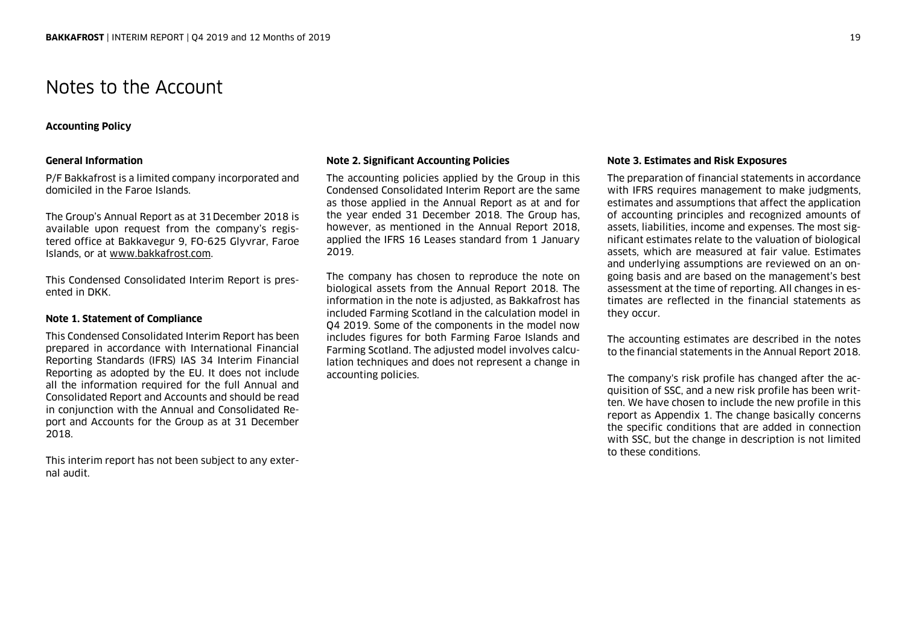### Notes to the Account

### **Accounting Policy**

### **General Information**

P/F Bakkafrost is a limited company incorporated and domiciled in the Faroe Islands.

The Group's Annual Report as at 31December 2018 is available upon request from the company's registered office at Bakkavegur 9, FO-625 Glyvrar, Faroe Islands, or at www.bakkafrost.com.

This Condensed Consolidated Interim Report is presented in DKK.

### **Note 1. Statement of Compliance**

This Condensed Consolidated Interim Report has been prepared in accordance with International Financial Reporting Standards (IFRS) IAS 34 Interim Financial Reporting as adopted by the EU. It does not include all the information required for the full Annual and Consolidated Report and Accounts and should be read in conjunction with the Annual and Consolidated Report and Accounts for the Group as at 31 December 2018.

This interim report has not been subject to any external audit.

### **Note 2. Significant Accounting Policies**

The accounting policies applied by the Group in this Condensed Consolidated Interim Report are the same as those applied in the Annual Report as at and for the year ended 31 December 2018. The Group has, however, as mentioned in the Annual Report 2018, applied the IFRS 16 Leases standard from 1 January 2019.

The company has chosen to reproduce the note on biological assets from the Annual Report 2018. The information in the note is adjusted, as Bakkafrost has included Farming Scotland in the calculation model in Q4 2019. Some of the components in the model now includes figures for both Farming Faroe Islands and Farming Scotland. The adjusted model involves calculation techniques and does not represent a change in accounting policies.

### **Note 3. Estimates and Risk Exposures**

The preparation of financial statements in accordance with IFRS requires management to make judgments, estimates and assumptions that affect the application of accounting principles and recognized amounts of assets, liabilities, income and expenses. The most significant estimates relate to the valuation of biological assets, which are measured at fair value. Estimates and underlying assumptions are reviewed on an ongoing basis and are based on the management's best assessment at the time of reporting. All changes in estimates are reflected in the financial statements as they occur.

The accounting estimates are described in the notes to the financial statements in the Annual Report 2018.

The company's risk profile has changed after the acquisition of SSC, and a new risk profile has been written. We have chosen to include the new profile in this report as Appendix 1. The change basically concerns the specific conditions that are added in connection with SSC, but the change in description is not limited to these conditions.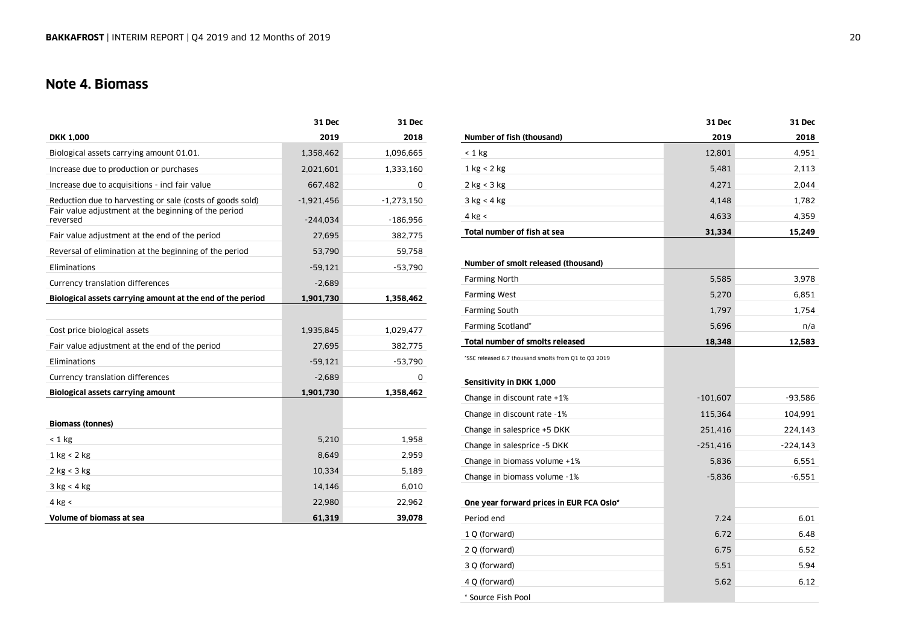### **Note 4. Biomass**

|                                                                  | 31 Dec       | 31 Dec       |
|------------------------------------------------------------------|--------------|--------------|
| <b>DKK 1,000</b>                                                 | 2019         | 2018         |
| Biological assets carrying amount 01.01.                         | 1,358,462    | 1,096,665    |
| Increase due to production or purchases                          | 2,021,601    | 1,333,160    |
| Increase due to acquisitions - incl fair value                   | 667,482      | 0            |
| Reduction due to harvesting or sale (costs of goods sold)        | $-1,921,456$ | $-1,273,150$ |
| Fair value adjustment at the beginning of the period<br>reversed | $-244.034$   | $-186,956$   |
| Fair value adjustment at the end of the period                   | 27,695       | 382,775      |
| Reversal of elimination at the beginning of the period           | 53,790       | 59,758       |
| Eliminations                                                     | $-59,121$    | $-53,790$    |
| Currency translation differences                                 | $-2,689$     |              |
| Biological assets carrying amount at the end of the period       | 1,901,730    | 1,358,462    |
|                                                                  |              |              |
| Cost price biological assets                                     | 1,935,845    | 1,029,477    |
| Fair value adjustment at the end of the period                   | 27,695       | 382,775      |
| Eliminations                                                     | $-59,121$    | $-53,790$    |
| Currency translation differences                                 | $-2,689$     | 0            |
| <b>Biological assets carrying amount</b>                         | 1,901,730    | 1,358,462    |
|                                                                  |              |              |
| <b>Biomass (tonnes)</b>                                          |              |              |
| $< 1$ kg                                                         | 5,210        | 1,958        |
| $1 \text{ kg} < 2 \text{ kg}$                                    | 8,649        | 2,959        |
| $2$ kg < 3 kg                                                    | 10,334       | 5,189        |
| 3 kg < 4 kg                                                      | 14,146       | 6,010        |
| $4$ kg $\le$                                                     | 22,980       | 22,962       |
| Volume of biomass at sea                                         | 61,319       | 39,078       |

|                                                      | 31 Dec     | 31 Dec    |
|------------------------------------------------------|------------|-----------|
| Number of fish (thousand)                            | 2019       | 2018      |
| $< 1$ kg                                             | 12,801     | 4,951     |
| 1 kg < 2 kg                                          | 5,481      | 2,113     |
| 2 kg < 3 kg                                          | 4,271      | 2,044     |
| 3 kg < 4 kg                                          | 4,148      | 1,782     |
| $4$ kg <                                             | 4,633      | 4,359     |
| Total number of fish at sea                          | 31,334     | 15,249    |
|                                                      |            |           |
| Number of smolt released (thousand)                  |            |           |
| <b>Farming North</b>                                 | 5,585      | 3,978     |
| <b>Farming West</b>                                  | 5,270      | 6,851     |
| <b>Farming South</b>                                 | 1,797      | 1,754     |
| Farming Scotland*                                    | 5,696      | n/a       |
| <b>Total number of smolts released</b>               | 18,348     | 12,583    |
| *SSC released 6.7 thousand smolts from Q1 to Q3 2019 |            |           |
|                                                      |            |           |
| Sensitivity in DKK 1,000                             |            |           |
| Change in discount rate +1%                          | $-101,607$ | $-93,586$ |
| Change in discount rate -1%                          | 115,364    | 104,991   |
| Change in salesprice +5 DKK                          | 251,416    | 224,143   |
| Change in salesprice -5 DKK                          | $-251,416$ | -224,143  |
| Change in biomass volume +1%                         | 5,836      | 6,551     |
| Change in biomass volume -1%                         | $-5,836$   | $-6,551$  |
|                                                      |            |           |
| One year forward prices in EUR FCA Oslo*             |            |           |
| Period end                                           | 7.24       | 6.01      |
| 1 Q (forward)                                        | 6.72       | 6.48      |
| 2 Q (forward)                                        | 6.75       | 6.52      |
| 3 Q (forward)                                        | 5.51       | 5.94      |
| 4 Q (forward)                                        | 5.62       | 6.12      |
| * Source Fish Pool                                   |            |           |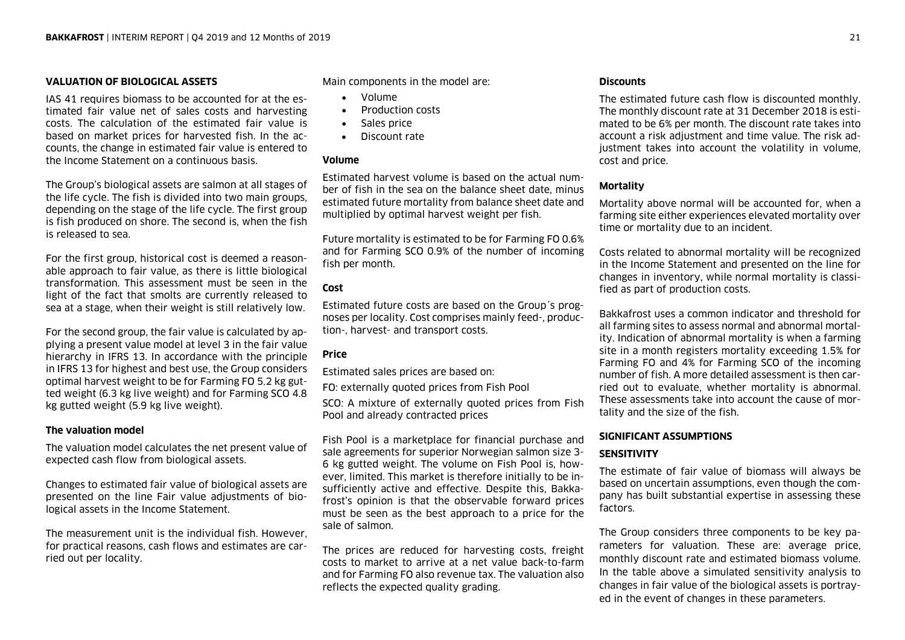### **VALUATION OF BIOLOGICAL ASSETS**

IAS 41 requires biomass to be accounted for at the estimated fair value net of sales costs and harvesting costs. The calculation of the estimated fair value is based on market prices for harvested fish. In the accounts, the change in estimated fair value is entered to the Income Statement on a continuous basis.

The Group's biological assets are salmon at all stages of the life cycle. The fish is divided into two main groups, depending on the stage of the life cycle. The first group is fish produced on shore. The second is, when the fish is released to sea.

For the first group, historical cost is deemed a reasonable approach to fair value, as there is little biological transformation. This assessment must be seen in the light of the fact that smolts are currently released to sea at a stage, when their weight is still relatively low.

For the second group, the fair value is calculated by applying a present value model at level 3 in the fair value hierarchy in IFRS 13. In accordance with the principle in IFRS 13 for highest and best use, the Group considers optimal harvest weight to be for Farming FO 5.2 kg gutted weight (6.3 kg live weight) and for Farming SCO 4.8 kg gutted weight (5.9 kg live weight).

### **The valuation model**

The valuation model calculates the net present value of expected cash flow from biological assets.

Changes to estimated fair value of biological assets are presented on the line Fair value adjustments of biological assets in the Income Statement.

The measurement unit is the individual fish. However, for practical reasons, cash flows and estimates are carried out per locality.

Main components in the model are:

- Volume
- . Production costs
- $\bullet$ Sales price
- Discount rate

### **Volume**

Estimated harvest volume is based on the actual number of fish in the sea on the balance sheet date, minus estimated future mortality from balance sheet date and multiplied by optimal harvest weight per fish.

Future mortality is estimated to be for Farming FO 0.6% and for Farming SCO 0.9% of the number of incoming fish per month.

### **Cost**

Estimated future costs are based on the Group´s prognoses per locality. Cost comprises mainly feed-, production-, harvest- and transport costs.

### **Price**

Estimated sales prices are based on:

FO: externally quoted prices from Fish Pool

SCO: A mixture of externally quoted prices from Fish Pool and already contracted prices

Fish Pool is a marketplace for financial purchase and sale agreements for superior Norwegian salmon size 3- 6 kg gutted weight. The volume on Fish Pool is, however, limited. This market is therefore initially to be insufficiently active and effective. Despite this, Bakkafrost's opinion is that the observable forward prices must be seen as the best approach to a price for the sale of salmon.

The prices are reduced for harvesting costs, freight costs to market to arrive at a net value back-to-farm and for Farming FO also revenue tax. The valuation also reflects the expected quality grading.

### **Discounts**

The estimated future cash flow is discounted monthly. The monthly discount rate at 31 December 2018 is estimated to be 6% per month. The discount rate takes into account a risk adjustment and time value. The risk adjustment takes into account the volatility in volume, cost and price.

### **Mortality**

Mortality above normal will be accounted for, when a farming site either experiences elevated mortality over time or mortality due to an incident.

Costs related to abnormal mortality will be recognized in the Income Statement and presented on the line for changes in inventory, while normal mortality is classified as part of production costs.

Bakkafrost uses a common indicator and threshold for all farming sites to assess normal and abnormal mortality. Indication of abnormal mortality is when a farming site in a month registers mortality exceeding 1.5% for Farming FO and 4% for Farming SCO of the incoming number of fish. A more detailed assessment is then carried out to evaluate, whether mortality is abnormal. These assessments take into account the cause of mortality and the size of the fish.

### **SIGNIFICANT ASSUMPTIONS**

### **SENSITIVITY**

The estimate of fair value of biomass will always be based on uncertain assumptions, even though the company has built substantial expertise in assessing these factors.

The Group considers three components to be key parameters for valuation. These are: average price, monthly discount rate and estimated biomass volume. In the table above a simulated sensitivity analysis to changes in fair value of the biological assets is portrayed in the event of changes in these parameters.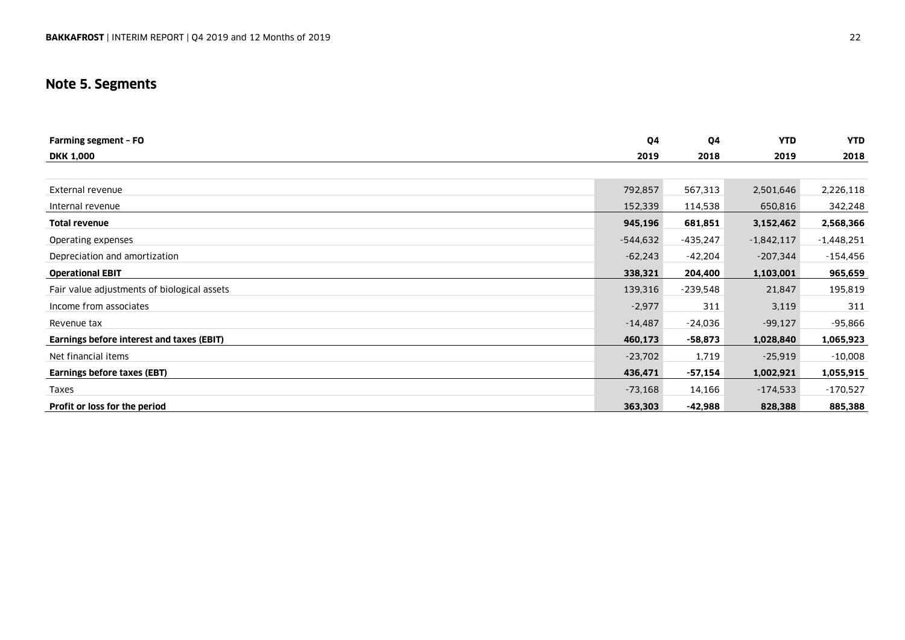### **Note 5. Segments**

| Farming segment - FO                        | Q4         | 04         | <b>YTD</b>   | <b>YTD</b>   |
|---------------------------------------------|------------|------------|--------------|--------------|
| <b>DKK 1,000</b>                            | 2019       | 2018       | 2019         | 2018         |
|                                             |            |            |              |              |
| External revenue                            | 792,857    | 567,313    | 2,501,646    | 2,226,118    |
| Internal revenue                            | 152,339    | 114,538    | 650,816      | 342,248      |
| <b>Total revenue</b>                        | 945,196    | 681,851    | 3,152,462    | 2,568,366    |
| Operating expenses                          | $-544,632$ | $-435,247$ | $-1,842,117$ | $-1,448,251$ |
| Depreciation and amortization               | $-62,243$  | -42,204    | $-207,344$   | $-154,456$   |
| <b>Operational EBIT</b>                     | 338,321    | 204,400    | 1,103,001    | 965,659      |
| Fair value adjustments of biological assets | 139,316    | $-239,548$ | 21,847       | 195,819      |
| Income from associates                      | $-2,977$   | 311        | 3,119        | 311          |
| Revenue tax                                 | $-14,487$  | -24,036    | $-99,127$    | -95,866      |
| Earnings before interest and taxes (EBIT)   | 460,173    | $-58,873$  | 1,028,840    | 1,065,923    |
| Net financial items                         | $-23,702$  | 1,719      | $-25,919$    | $-10,008$    |
| Earnings before taxes (EBT)                 | 436,471    | $-57,154$  | 1,002,921    | 1,055,915    |
| Taxes                                       | $-73,168$  | 14,166     | $-174,533$   | $-170,527$   |
| Profit or loss for the period               | 363,303    | -42,988    | 828,388      | 885,388      |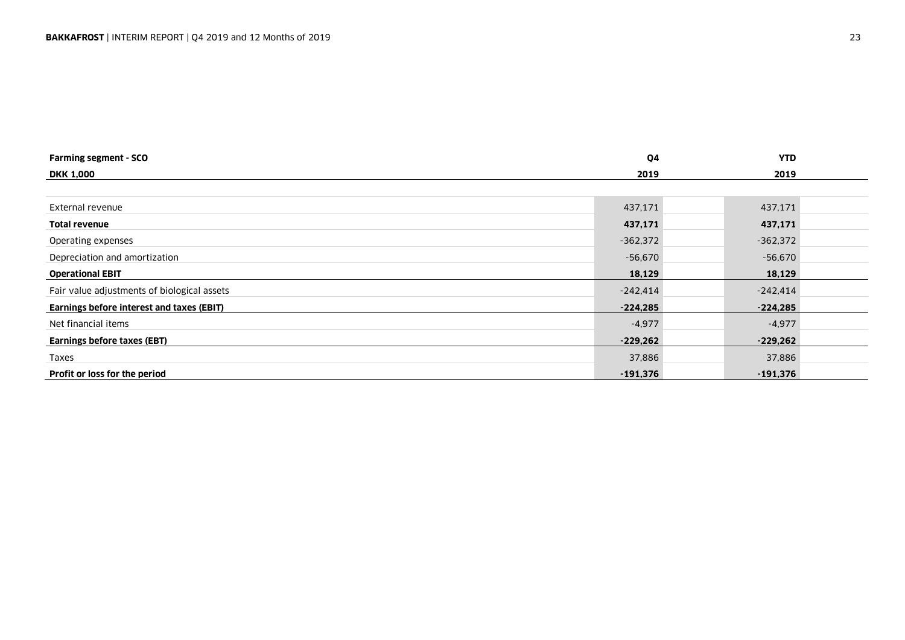| <b>Farming segment - SCO</b>                | Q4         | <b>YTD</b> |
|---------------------------------------------|------------|------------|
| <b>DKK 1,000</b>                            | 2019       | 2019       |
|                                             |            |            |
| External revenue                            | 437,171    | 437,171    |
| <b>Total revenue</b>                        | 437,171    | 437,171    |
| Operating expenses                          | $-362,372$ | $-362,372$ |
| Depreciation and amortization               | -56,670    | $-56,670$  |
| <b>Operational EBIT</b>                     | 18,129     | 18,129     |
| Fair value adjustments of biological assets | $-242,414$ | $-242,414$ |
| Earnings before interest and taxes (EBIT)   | $-224,285$ | $-224,285$ |
| Net financial items                         | $-4,977$   | $-4,977$   |
| <b>Earnings before taxes (EBT)</b>          | $-229,262$ | $-229,262$ |
| Taxes                                       | 37,886     | 37,886     |
| Profit or loss for the period               | $-191,376$ | $-191,376$ |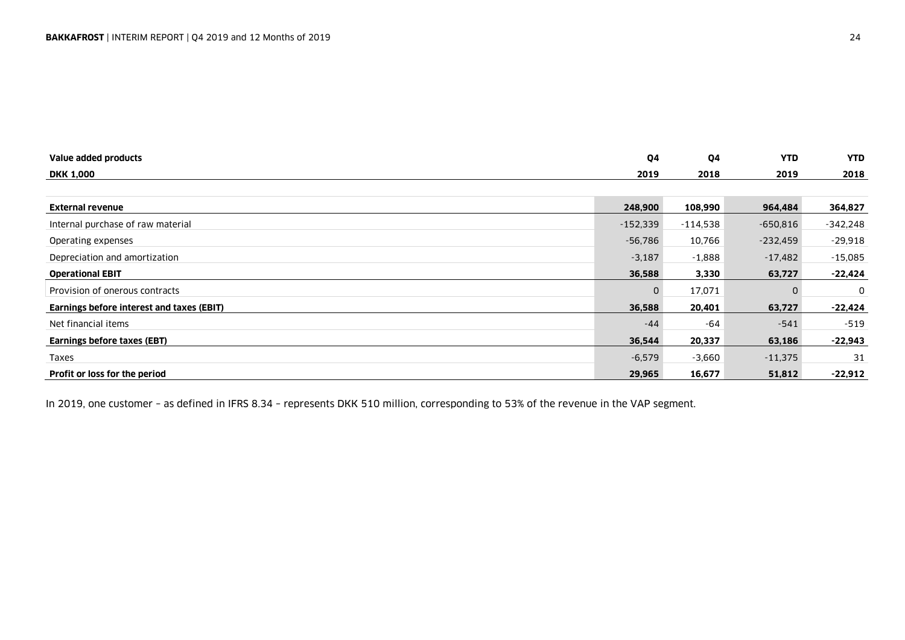| Value added products                      | Q4         | Q4         | <b>YTD</b> | <b>YTD</b> |
|-------------------------------------------|------------|------------|------------|------------|
| <b>DKK 1,000</b>                          | 2019       | 2018       | 2019       | 2018       |
|                                           |            |            |            |            |
| <b>External revenue</b>                   | 248,900    | 108,990    | 964,484    | 364,827    |
| Internal purchase of raw material         | $-152,339$ | $-114,538$ | $-650.816$ | -342,248   |
| Operating expenses                        | $-56,786$  | 10,766     | $-232,459$ | $-29,918$  |
| Depreciation and amortization             | $-3,187$   | $-1.888$   | $-17,482$  | $-15,085$  |
| <b>Operational EBIT</b>                   | 36,588     | 3,330      | 63,727     | $-22,424$  |
| Provision of onerous contracts            | 0          | 17,071     |            | 0          |
| Earnings before interest and taxes (EBIT) | 36,588     | 20,401     | 63,727     | $-22,424$  |
| Net financial items                       | $-44$      | -64        | $-541$     | $-519$     |
| <b>Earnings before taxes (EBT)</b>        | 36,544     | 20,337     | 63,186     | $-22,943$  |
| Taxes                                     | $-6,579$   | $-3,660$   | $-11,375$  | 31         |
| Profit or loss for the period             | 29,965     | 16,677     | 51,812     | $-22,912$  |

In 2019, one customer – as defined in IFRS 8.34 – represents DKK 510 million, corresponding to 53% of the revenue in the VAP segment.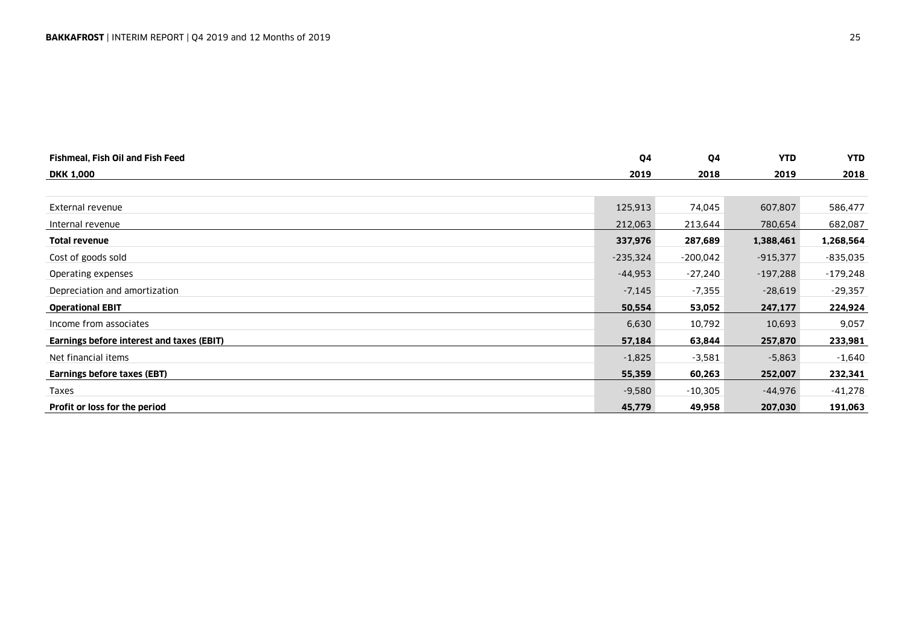| Fishmeal, Fish Oil and Fish Feed          | Q4         | Q4         | <b>YTD</b> | <b>YTD</b> |
|-------------------------------------------|------------|------------|------------|------------|
| <b>DKK 1,000</b>                          | 2019       | 2018       | 2019       | 2018       |
|                                           |            |            |            |            |
| External revenue                          | 125,913    | 74,045     | 607,807    | 586,477    |
| Internal revenue                          | 212,063    | 213,644    | 780,654    | 682,087    |
| <b>Total revenue</b>                      | 337,976    | 287,689    | 1,388,461  | 1,268,564  |
| Cost of goods sold                        | $-235,324$ | $-200,042$ | $-915,377$ | $-835,035$ |
| Operating expenses                        | -44,953    | $-27,240$  | $-197,288$ | $-179,248$ |
| Depreciation and amortization             | $-7,145$   | $-7,355$   | $-28,619$  | $-29,357$  |
| <b>Operational EBIT</b>                   | 50,554     | 53,052     | 247,177    | 224,924    |
| Income from associates                    | 6,630      | 10,792     | 10,693     | 9,057      |
| Earnings before interest and taxes (EBIT) | 57,184     | 63,844     | 257,870    | 233,981    |
| Net financial items                       | $-1,825$   | $-3,581$   | $-5,863$   | $-1,640$   |
| Earnings before taxes (EBT)               | 55,359     | 60,263     | 252,007    | 232,341    |
| Taxes                                     | $-9,580$   | $-10,305$  | -44,976    | -41,278    |
| Profit or loss for the period             | 45,779     | 49,958     | 207,030    | 191,063    |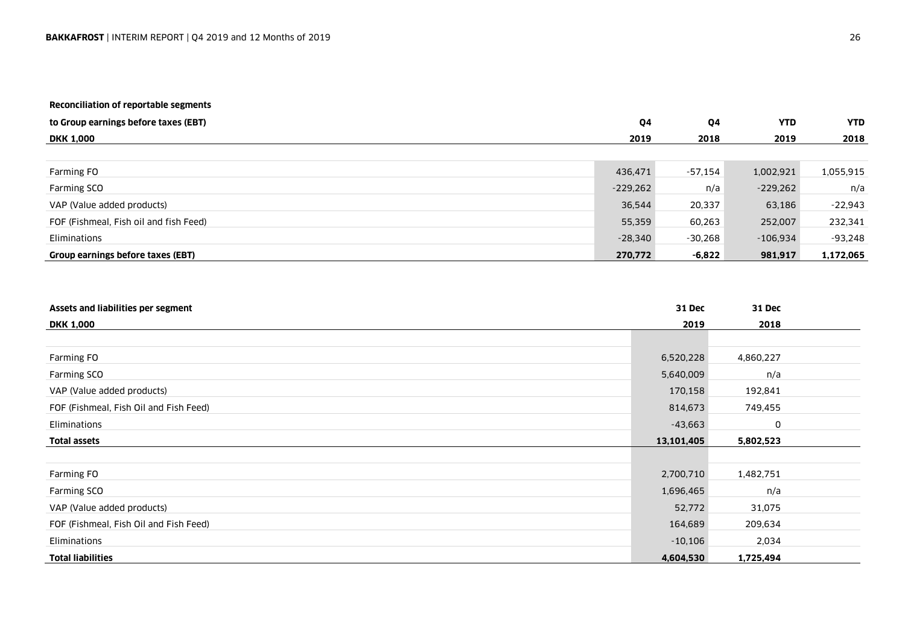### **Reconciliation of reportable segments**

| to Group earnings before taxes (EBT)   | Q4         | Q4        | <b>YTD</b> | <b>YTD</b> |
|----------------------------------------|------------|-----------|------------|------------|
| <b>DKK 1,000</b>                       | 2019       | 2018      | 2019       | 2018       |
|                                        |            |           |            |            |
| Farming FO                             | 436,471    | -57,154   | 1,002,921  | 1,055,915  |
| Farming SCO                            | $-229.262$ | n/a       | $-229,262$ | n/a        |
| VAP (Value added products)             | 36,544     | 20,337    | 63,186     | $-22,943$  |
| FOF (Fishmeal, Fish oil and fish Feed) | 55,359     | 60,263    | 252,007    | 232,341    |
| Eliminations                           | $-28,340$  | $-30,268$ | $-106.934$ | -93,248    |
| Group earnings before taxes (EBT)      | 270,772    | -6,822    | 981,917    | 1,172,065  |

| Assets and liabilities per segment     | <b>31 Dec</b> | <b>31 Dec</b> |  |
|----------------------------------------|---------------|---------------|--|
| <b>DKK 1,000</b>                       | 2019          | 2018          |  |
|                                        |               |               |  |
| Farming FO                             | 6,520,228     | 4,860,227     |  |
| Farming SCO                            | 5,640,009     | n/a           |  |
| VAP (Value added products)             | 170,158       | 192,841       |  |
| FOF (Fishmeal, Fish Oil and Fish Feed) | 814,673       | 749,455       |  |
| Eliminations                           | $-43,663$     | 0             |  |
| <b>Total assets</b>                    | 13,101,405    | 5,802,523     |  |
|                                        |               |               |  |
| Farming FO                             | 2,700,710     | 1,482,751     |  |
| Farming SCO                            | 1,696,465     | n/a           |  |
| VAP (Value added products)             | 52,772        | 31,075        |  |
| FOF (Fishmeal, Fish Oil and Fish Feed) | 164,689       | 209,634       |  |
| Eliminations                           | $-10,106$     | 2,034         |  |
| <b>Total liabilities</b>               | 4,604,530     | 1,725,494     |  |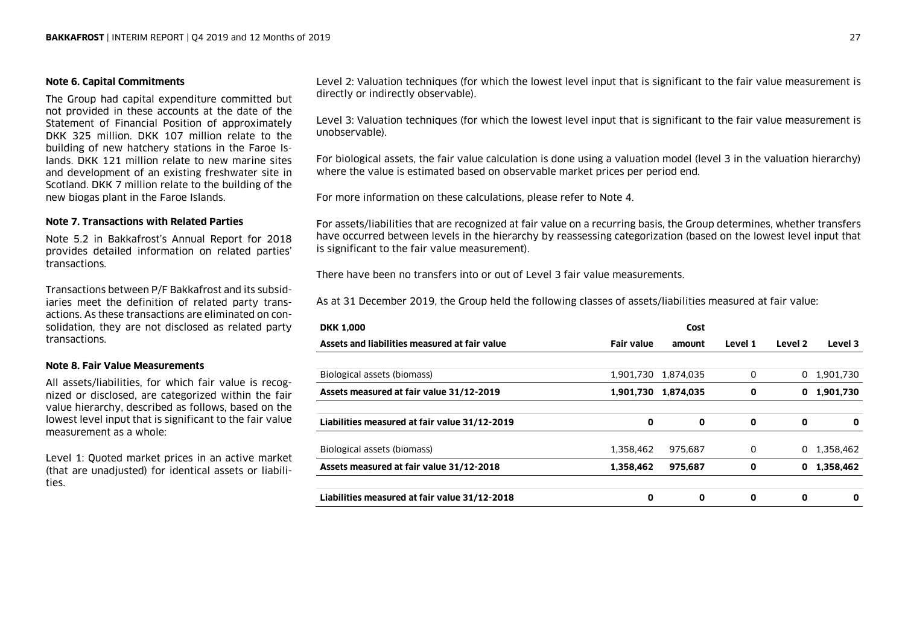### **Note 6. Capital Commitments**

The Group had capital expenditure committed but not provided in these accounts at the date of the Statement of Financial Position of approximately DKK 325 million. DKK 107 million relate to the building of new hatchery stations in the Faroe Islands. DKK 121 million relate to new marine sites and development of an existing freshwater site in Scotland. DKK 7 million relate to the building of the new biogas plant in the Faroe Islands.

### **Note 7. Transactions with Related Parties**

Note 5.2 in Bakkafrost's Annual Report for 2018 provides detailed information on related parties' transactions.

Transactions between P/F Bakkafrost and its subsidiaries meet the definition of related party transactions. As these transactions are eliminated on consolidation, they are not disclosed as related party transactions.

### **Note 8. Fair Value Measurements**

All assets/liabilities, for which fair value is recognized or disclosed, are categorized within the fair value hierarchy, described as follows, based on the lowest level input that is significant to the fair value measurement as a whole:

Level 1: Quoted market prices in an active market (that are unadjusted) for identical assets or liabilities.

Level 2: Valuation techniques (for which the lowest level input that is significant to the fair value measurement is directly or indirectly observable).

Level 3: Valuation techniques (for which the lowest level input that is significant to the fair value measurement is unobservable).

For biological assets, the fair value calculation is done using a valuation model (level 3 in the valuation hierarchy) where the value is estimated based on observable market prices per period end.

For more information on these calculations, please refer to Note 4.

For assets/liabilities that are recognized at fair value on a recurring basis, the Group determines, whether transfers have occurred between levels in the hierarchy by reassessing categorization (based on the lowest level input that is significant to the fair value measurement).

There have been no transfers into or out of Level 3 fair value measurements.

As at 31 December 2019, the Group held the following classes of assets/liabilities measured at fair value:

| <b>DKK 1,000</b>                              |                   | Cost      |         |         |           |
|-----------------------------------------------|-------------------|-----------|---------|---------|-----------|
| Assets and liabilities measured at fair value | <b>Fair value</b> | amount    | Level 1 | Level 2 | Level 3   |
|                                               |                   |           |         |         |           |
| Biological assets (biomass)                   | 1.901.730         | 1.874.035 | 0       | 0       | 1,901,730 |
| Assets measured at fair value 31/12-2019      | 1.901.730         | 1.874.035 | 0       | 0       | 1,901,730 |
|                                               |                   |           |         |         |           |
| Liabilities measured at fair value 31/12-2019 | 0                 | 0         | 0       | 0       | 0         |
| Biological assets (biomass)                   | 1,358,462         | 975,687   | 0       | 0       | 1,358,462 |
| Assets measured at fair value 31/12-2018      | 1,358,462         | 975,687   | 0       | 0       | 1,358,462 |
| Liabilities measured at fair value 31/12-2018 | 0                 | 0         | 0       | 0       | 0         |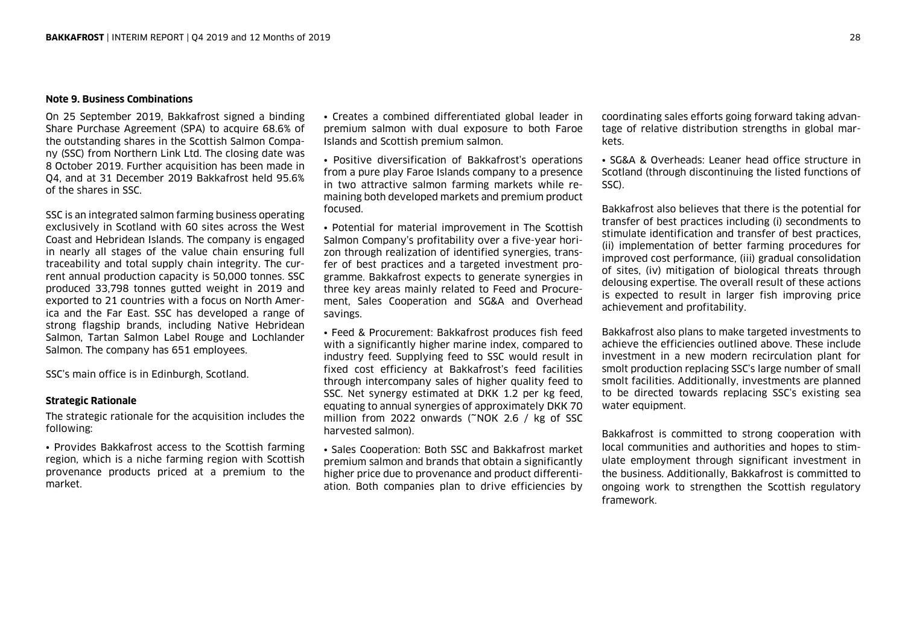### **Note 9. Business Combinations**

On 25 September 2019, Bakkafrost signed a binding Share Purchase Agreement (SPA) to acquire 68.6% of the outstanding shares in the Scottish Salmon Company (SSC) from Northern Link Ltd. The closing date was 8 October 2019. Further acquisition has been made in Q4, and at 31 December 2019 Bakkafrost held 95.6% of the shares in SSC.

SSC is an integrated salmon farming business operating exclusively in Scotland with 60 sites across the West Coast and Hebridean Islands. The company is engaged in nearly all stages of the value chain ensuring full traceability and total supply chain integrity. The current annual production capacity is 50,000 tonnes. SSC produced 33,798 tonnes gutted weight in 2019 and exported to 21 countries with a focus on North America and the Far East. SSC has developed a range of strong flagship brands, including Native Hebridean Salmon, Tartan Salmon Label Rouge and Lochlander Salmon. The company has 651 employees.

SSC's main office is in Edinburgh, Scotland.

### **Strategic Rationale**

The strategic rationale for the acquisition includes the following:

• Provides Bakkafrost access to the Scottish farming region, which is a niche farming region with Scottish provenance products priced at a premium to the market.

• Creates a combined differentiated global leader in premium salmon with dual exposure to both Faroe Islands and Scottish premium salmon.

• Positive diversification of Bakkafrost's operations from a pure play Faroe Islands company to a presence in two attractive salmon farming markets while remaining both developed markets and premium product focused.

• Potential for material improvement in The Scottish Salmon Company's profitability over a five-year horizon through realization of identified synergies, transfer of best practices and a targeted investment programme. Bakkafrost expects to generate synergies in three key areas mainly related to Feed and Procurement, Sales Cooperation and SG&A and Overhead savings.

• Feed & Procurement: Bakkafrost produces fish feed with a significantly higher marine index, compared to industry feed. Supplying feed to SSC would result in fixed cost efficiency at Bakkafrost's feed facilities through intercompany sales of higher quality feed to SSC. Net synergy estimated at DKK 1.2 per kg feed, equating to annual synergies of approximately DKK 70 million from 2022 onwards (~NOK 2.6 / kg of SSC harvested salmon).

• Sales Cooperation: Both SSC and Bakkafrost market premium salmon and brands that obtain a significantly higher price due to provenance and product differentiation. Both companies plan to drive efficiencies by

coordinating sales efforts going forward taking advantage of relative distribution strengths in global markets.

• SG&A & Overheads: Leaner head office structure in Scotland (through discontinuing the listed functions of SSC).

Bakkafrost also believes that there is the potential for transfer of best practices including (i) secondments to stimulate identification and transfer of best practices, (ii) implementation of better farming procedures for improved cost performance, (iii) gradual consolidation of sites, (iv) mitigation of biological threats through delousing expertise. The overall result of these actions is expected to result in larger fish improving price achievement and profitability.

Bakkafrost also plans to make targeted investments to achieve the efficiencies outlined above. These include investment in a new modern recirculation plant for smolt production replacing SSC's large number of small smolt facilities. Additionally, investments are planned to be directed towards replacing SSC's existing sea water equipment.

Bakkafrost is committed to strong cooperation with local communities and authorities and hopes to stimulate employment through significant investment in the business. Additionally, Bakkafrost is committed to ongoing work to strengthen the Scottish regulatory framework.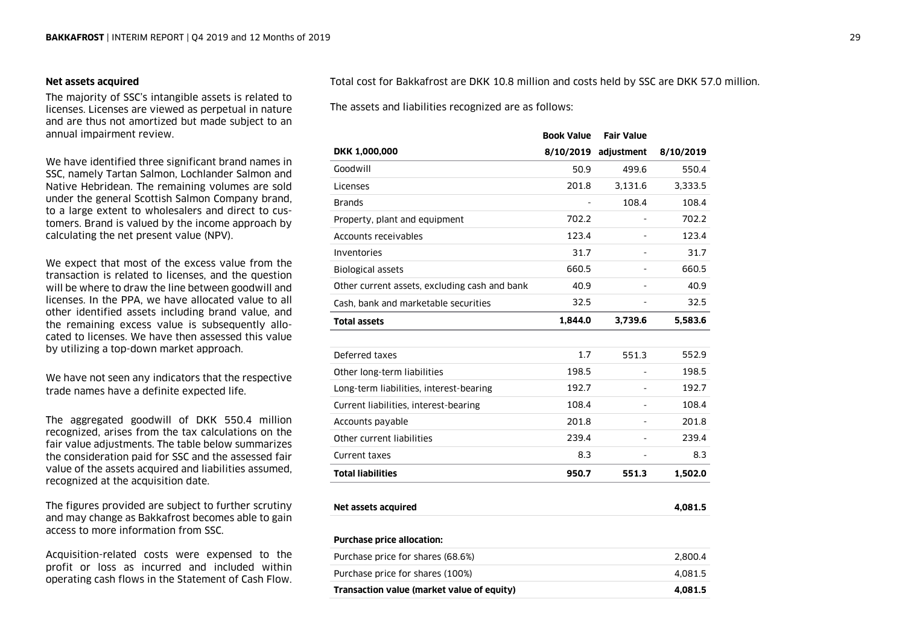### **Net assets acquired**

The majority of SSC's intangible assets is related to licenses. Licenses are viewed as perpetual in nature and are thus not amortized but made subject to an annual impairment review.

We have identified three significant brand names in SSC, namely Tartan Salmon, Lochlander Salmon and Native Hebridean. The remaining volumes are sold under the general Scottish Salmon Company brand, to a large extent to wholesalers and direct to customers. Brand is valued by the income approach by calculating the net present value (NPV).

We expect that most of the excess value from the transaction is related to licenses, and the question will be where to draw the line between goodwill and licenses. In the PPA, we have allocated value to all other identified assets including brand value, and the remaining excess value is subsequently allocated to licenses. We have then assessed this value by utilizing a top-down market approach.

We have not seen any indicators that the respective trade names have a definite expected life.

The aggregated goodwill of DKK 550.4 million recognized, arises from the tax calculations on the fair value adjustments. The table below summarizes the consideration paid for SSC and the assessed fair value of the assets acquired and liabilities assumed, recognized at the acquisition date.

The figures provided are subject to further scrutiny and may change as Bakkafrost becomes able to gain access to more information from SSC.

Acquisition-related costs were expensed to the profit or loss as incurred and included within operating cash flows in the Statement of Cash Flow. Total cost for Bakkafrost are DKK 10.8 million and costs held by SSC are DKK 57.0 million.

The assets and liabilities recognized are as follows:

|                                               | <b>Book Value</b> | <b>Fair Value</b>    |           |
|-----------------------------------------------|-------------------|----------------------|-----------|
| <b>DKK 1,000,000</b>                          |                   | 8/10/2019 adjustment | 8/10/2019 |
| Goodwill                                      | 50.9              | 499.6                | 550.4     |
| Licenses                                      | 201.8             | 3.131.6              | 3,333.5   |
| Brands                                        |                   | 108.4                | 108.4     |
| Property, plant and equipment                 | 702.2             |                      | 702.2     |
| Accounts receivables                          | 123.4             |                      | 123.4     |
| Inventories                                   | 31.7              |                      | 31.7      |
| <b>Biological assets</b>                      | 660.5             |                      | 660.5     |
| Other current assets, excluding cash and bank | 40.9              |                      | 40.9      |
| Cash, bank and marketable securities          | 32.5              |                      | 32.5      |
| <b>Total assets</b>                           | 1,844.0           | 3,739.6              | 5,583.6   |
|                                               |                   |                      |           |
| Deferred taxes                                | 1.7               | 551.3                | 552.9     |
| Other long-term liabilities                   | 198.5             |                      | 198.5     |
| Long-term liabilities, interest-bearing       | 192.7             |                      | 192.7     |
| Current liabilities, interest-bearing         | 108.4             |                      | 108.4     |
| Accounts payable                              | 201.8             |                      | 201.8     |
| Other current liabilities                     | 239.4             |                      | 239.4     |
| Current taxes                                 | 8.3               |                      | 8.3       |
| <b>Total liabilities</b>                      | 950.7             | 551.3                | 1,502.0   |
|                                               |                   |                      |           |
| Net assets acquired                           |                   |                      | 4,081.5   |
| <b>Purchase price allocation:</b>             |                   |                      |           |
| Purchase price for shares (68.6%)             |                   |                      | 2,800.4   |
| Purchase price for shares (100%)              |                   |                      | 4,081.5   |
| Transaction value (market value of equity)    |                   |                      | 4,081.5   |
|                                               |                   |                      |           |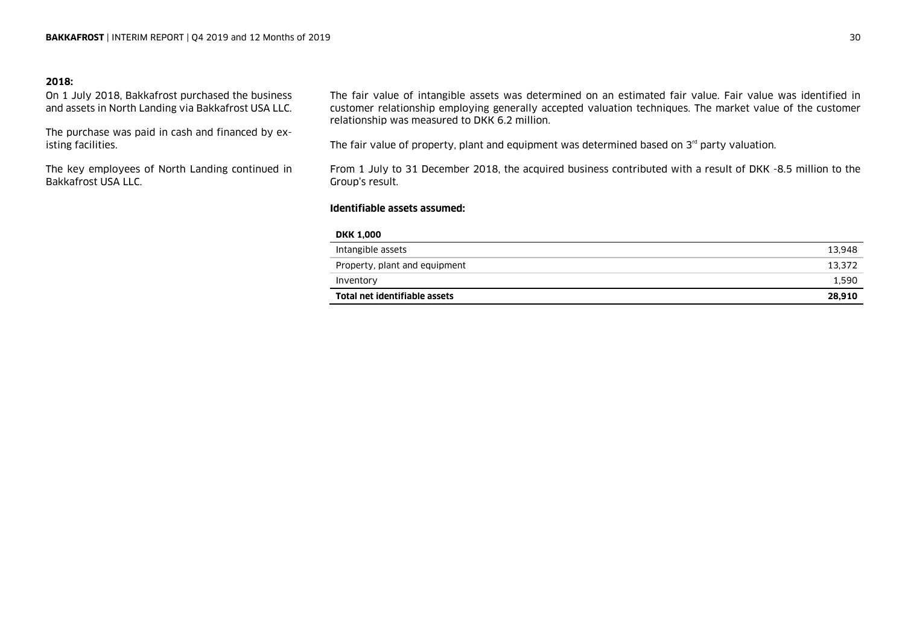### **2018:**

On 1 July 2018, Bakkafrost purchased the business and assets in North Landing via Bakkafrost USA LLC.

The purchase was paid in cash and financed by existing facilities.

The key employees of North Landing continued in Bakkafrost USA LLC.

The fair value of intangible assets was determined on an estimated fair value. Fair value was identified in customer relationship employing generally accepted valuation techniques. The market value of the customer relationship was measured to DKK 6.2 million.

The fair value of property, plant and equipment was determined based on  $3<sup>rd</sup>$  party valuation.

From 1 July to 31 December 2018, the acquired business contributed with a result of DKK -8.5 million to the Group's result.

### **Identifiable assets assumed:**

### **DKK 1,000**

| Inventory<br>Total net identifiable assets | 1.590<br>28.910 |
|--------------------------------------------|-----------------|
|                                            |                 |
| Property, plant and equipment              | 13.372          |
| Intangible assets                          | 13.948          |
|                                            |                 |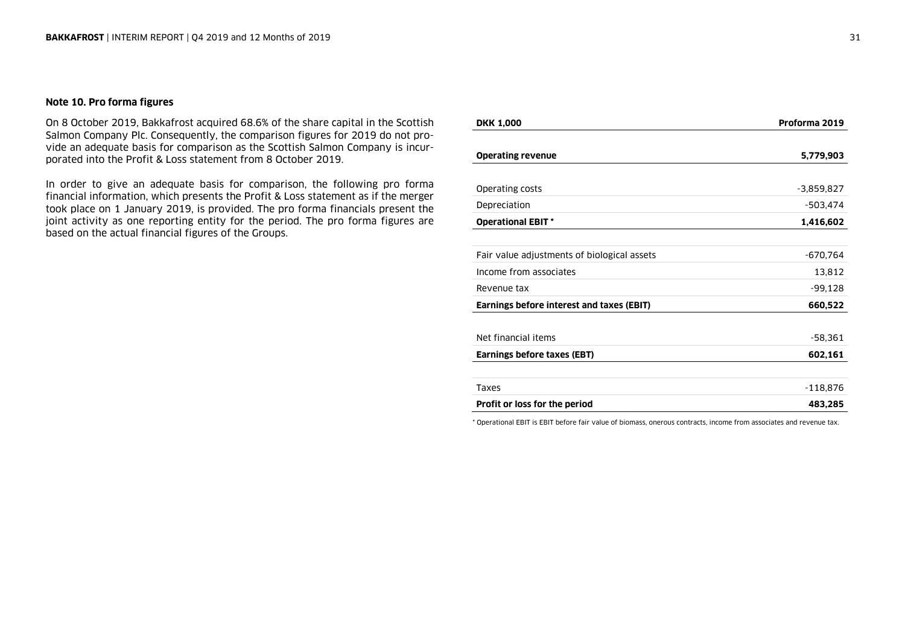### **Note 10. Pro forma figures**

On 8 October 2019, Bakkafrost acquired 68.6% of the share capital in the Scottish Salmon Company Plc. Consequently, the comparison figures for 2019 do not provide an adequate basis for comparison as the Scottish Salmon Company is incurporated into the Profit & Loss statement from 8 October 2019.

In order to give an adequate basis for comparison, the following pro forma financial information, which presents the Profit & Loss statement as if the merger took place on 1 January 2019, is provided. The pro forma financials present the joint activity as one reporting entity for the period. The pro forma figures are based on the actual financial figures of the Groups.

| <b>DKK 1,000</b>                            | Proforma 2019 |
|---------------------------------------------|---------------|
|                                             |               |
| <b>Operating revenue</b>                    | 5,779,903     |
|                                             |               |
| Operating costs                             | $-3,859,827$  |
| Depreciation                                | $-503,474$    |
| <b>Operational EBIT *</b>                   | 1,416,602     |
|                                             |               |
| Fair value adjustments of biological assets | $-670,764$    |
| Income from associates                      | 13,812        |
| Revenue tax                                 | $-99,128$     |
| Earnings before interest and taxes (EBIT)   | 660,522       |
|                                             |               |
| Net financial items                         | $-58,361$     |
| Earnings before taxes (EBT)                 | 602,161       |
|                                             |               |
| Taxes                                       | $-118,876$    |
| Profit or loss for the period               | 483,285       |

\* Operational EBIT is EBIT before fair value of biomass, onerous contracts, income from associates and revenue tax.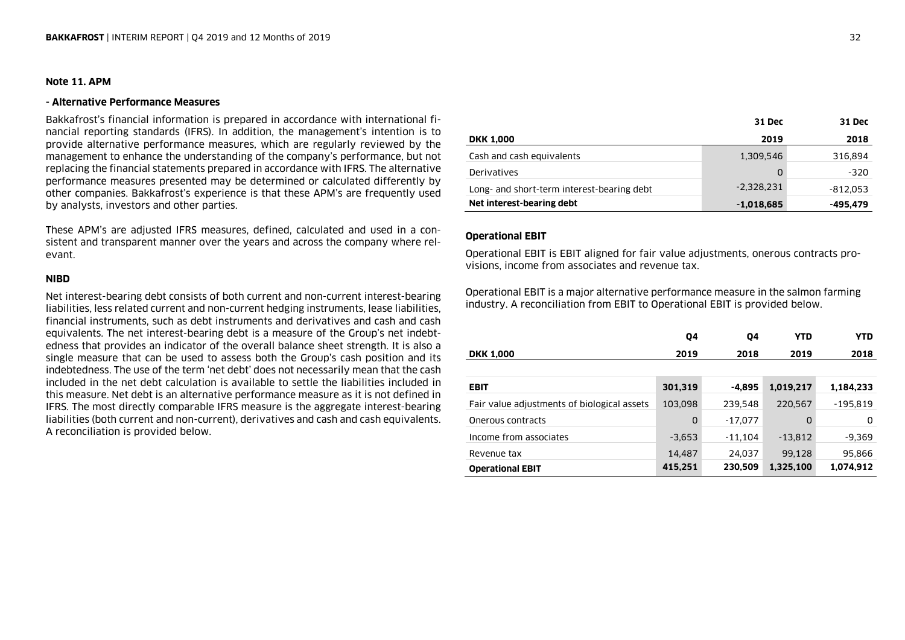### **Note 11. APM**

### **- Alternative Performance Measures**

Bakkafrost's financial information is prepared in accordance with international financial reporting standards (IFRS). In addition, the management's intention is to provide alternative performance measures, which are regularly reviewed by the management to enhance the understanding of the company's performance, but not replacing the financial statements prepared in accordance with IFRS. The alternative performance measures presented may be determined or calculated differently by other companies. Bakkafrost's experience is that these APM's are frequently used by analysts, investors and other parties.

These APM's are adjusted IFRS measures, defined, calculated and used in a consistent and transparent manner over the years and across the company where relevant.

### **NIBD**

Net interest-bearing debt consists of both current and non-current interest-bearing liabilities, less related current and non-current hedging instruments, lease liabilities, financial instruments, such as debt instruments and derivatives and cash and cash equivalents. The net interest-bearing debt is a measure of the Group's net indebtedness that provides an indicator of the overall balance sheet strength. It is also a single measure that can be used to assess both the Group's cash position and its indebtedness. The use of the term 'net debt' does not necessarily mean that the cash included in the net debt calculation is available to settle the liabilities included in this measure. Net debt is an alternative performance measure as it is not defined in IFRS. The most directly comparable IFRS measure is the aggregate interest-bearing liabilities (both current and non-current), derivatives and cash and cash equivalents. A reconciliation is provided below.

|                                            | 31 Dec       | 31 Dec     |
|--------------------------------------------|--------------|------------|
| <b>DKK 1,000</b>                           | 2019         | 2018       |
| Cash and cash equivalents                  | 1,309,546    | 316,894    |
| Derivatives                                | O            | -320       |
| Long- and short-term interest-bearing debt | $-2,328,231$ | $-812.053$ |
| Net interest-bearing debt                  | $-1,018,685$ | -495,479   |

### **Operational EBIT**

Operational EBIT is EBIT aligned for fair value adjustments, onerous contracts provisions, income from associates and revenue tax.

Operational EBIT is a major alternative performance measure in the salmon farming industry. A reconciliation from EBIT to Operational EBIT is provided below.

|                                             | 04       | 04        | YTD       | <b>YTD</b> |
|---------------------------------------------|----------|-----------|-----------|------------|
| <b>DKK 1,000</b>                            | 2019     | 2018      | 2019      | 2018       |
|                                             |          |           |           |            |
| <b>EBIT</b>                                 | 301,319  | -4,895    | 1,019,217 | 1,184,233  |
| Fair value adjustments of biological assets | 103,098  | 239,548   | 220,567   | $-195.819$ |
| Onerous contracts                           | 0        | $-17,077$ | 0         | 0          |
| Income from associates                      | $-3.653$ | $-11,104$ | $-13,812$ | $-9,369$   |
| Revenue tax                                 | 14,487   | 24,037    | 99,128    | 95,866     |
| <b>Operational EBIT</b>                     | 415,251  | 230,509   | 1,325,100 | 1,074,912  |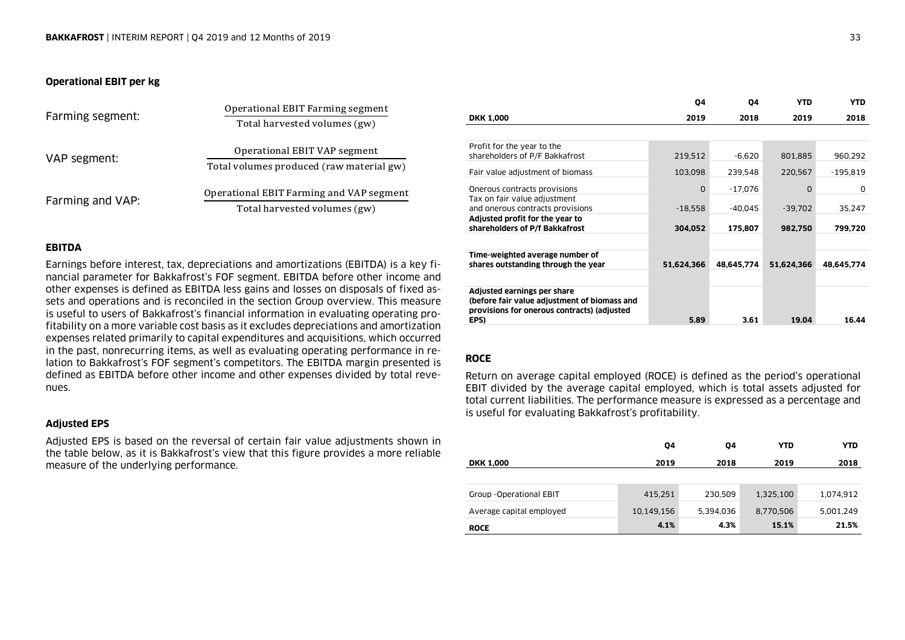### **Operational EBIT per kg**

| Farming segment: | Operational EBIT Farming segment         |  |  |
|------------------|------------------------------------------|--|--|
|                  | Total harvested volumes (gw)             |  |  |
| VAP segment:     | Operational EBIT VAP segment             |  |  |
|                  | Total volumes produced (raw material gw) |  |  |
| Farming and VAP: | Operational EBIT Farming and VAP segment |  |  |
|                  | Total harvested volumes (gw)             |  |  |

### **EBITDA**

Earnings before interest, tax, depreciations and amortizations (EBITDA) is a key financial parameter for Bakkafrost's FOF segment. EBITDA before other income and other expenses is defined as EBITDA less gains and losses on disposals of fixed assets and operations and is reconciled in the section Group overview. This measure is useful to users of Bakkafrost's financial information in evaluating operating profitability on a more variable cost basis as it excludes depreciations and amortization expenses related primarily to capital expenditures and acquisitions, which occurred in the past, nonrecurring items, as well as evaluating operating performance in relation to Bakkafrost's FOF segment's competitors. The EBITDA margin presented is defined as EBITDA before other income and other expenses divided by total revenues.

### **Adjusted EPS**

Adjusted EPS is based on the reversal of certain fair value adjustments shown in the table below, as it is Bakkafrost's view that this figure provides a more reliable measure of the underlying performance.

|                                                                                                                                    | 04         | 04         | <b>YTD</b> | <b>YTD</b> |
|------------------------------------------------------------------------------------------------------------------------------------|------------|------------|------------|------------|
| <b>DKK 1,000</b>                                                                                                                   | 2019       | 2018       | 2019       | 2018       |
|                                                                                                                                    |            |            |            |            |
| Profit for the year to the<br>shareholders of P/F Bakkafrost                                                                       | 219,512    | $-6,620$   | 801,885    | 960,292    |
| Fair value adjustment of biomass                                                                                                   | 103,098    | 239,548    | 220,567    | $-195,819$ |
| Onerous contracts provisions                                                                                                       | $\Omega$   | $-17.076$  | 0          | 0          |
| Tax on fair value adjustment<br>and onerous contracts provisions                                                                   | $-18,558$  | $-40.045$  | $-39.702$  | 35,247     |
| Adjusted profit for the year to<br>shareholders of P/f Bakkafrost                                                                  | 304,052    | 175.807    | 982,750    | 799,720    |
|                                                                                                                                    |            |            |            |            |
| Time-weighted average number of<br>shares outstanding through the year                                                             | 51,624,366 | 48,645,774 | 51,624,366 | 48,645,774 |
|                                                                                                                                    |            |            |            |            |
| Adjusted earnings per share<br>(before fair value adjustment of biomass and<br>provisions for onerous contracts) (adjusted<br>EPS) | 5.89       | 3.61       | 19.04      | 16.44      |
|                                                                                                                                    |            |            |            |            |

### **ROCE**

Return on average capital employed (ROCE) is defined as the period's operational EBIT divided by the average capital employed, which is total assets adjusted for total current liabilities. The performance measure is expressed as a percentage and is useful for evaluating Bakkafrost's profitability.

|                          | Q4         | 04        | <b>YTD</b> | YTD       |
|--------------------------|------------|-----------|------------|-----------|
| <b>DKK 1,000</b>         | 2019       | 2018      | 2019       | 2018      |
|                          |            |           |            |           |
| Group - Operational EBIT | 415,251    | 230,509   | 1,325,100  | 1,074,912 |
| Average capital employed | 10,149,156 | 5,394,036 | 8,770,506  | 5,001,249 |
| <b>ROCE</b>              | 4.1%       | 4.3%      | 15.1%      | 21.5%     |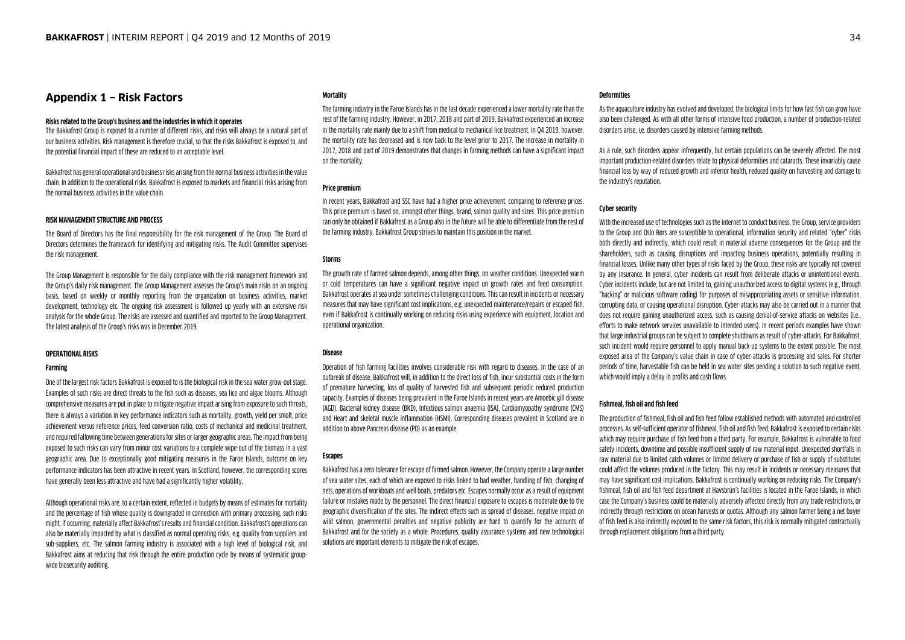### **Appendix 1 – Risk Factors**

### **Risks related to the Group's business and the industries in which it operates**

The Bakkafrost Group is exposed to a number of different risks, and risks will always be a natural part of our business activities. Risk management is therefore crucial, so that the risks Bakkafrost is exposed to, and the potential financial impact of these are reduced to an acceptable level.

Bakkafrost has general operational and business risks arising from the normal business activities in the value chain. In addition to the operational risks, Bakkafrost is exposed to markets and financial risks arising from the normal business activities in the value chain.

### **RISK MANAGEMENT STRUCTURE AND PROCESS**

The Board of Directors has the final responsibility for the risk management of the Group. The Board of Directors determines the framework for identifying and mitigating risks. The Audit Committee supervises the risk management.

The Group Management is responsible for the daily compliance with the risk management framework and the Group's daily risk management. The Group Management assesses the Group's main risks on an ongoing basis, based on weekly or monthly reporting from the organization on business activities, market development, technology etc. The ongoing risk assessment is followed up yearly with an extensive risk analysis for the whole Group. The risks are assessed and quantified and reported to the Group Management. The latest analysis of the Group's risks was in December 2019.

### **OPERATIONAL RISKS**

### **Farming**

One of the largest risk factors Bakkafrost is exposed to is the biological risk in the sea water grow-out stage. Examples of such risks are direct threats to the fish such as diseases, sea lice and algae blooms. Although comprehensive measures are put in place to mitigate negative impact arising from exposure to such threats, there is always a variation in key performance indicators such as mortality, growth, yield per smolt, price achievement versus reference prices, feed conversion ratio, costs of mechanical and medicinal treatment, and required fallowing time between generations for sites or larger geographic areas. The impact from being exposed to such risks can vary from minor cost variations to a complete wipe-out of the biomass in a vast geographic area. Due to exceptionally good mitigating measures in the Faroe Islands, outcome on key performance indicators has been attractive in recent years. In Scotland, however, the corresponding scores have generally been less attractive and have had a significantly higher volatility.

Although operational risks are, to a certain extent, reflected in budgets by means of estimates for mortality and the percentage of fish whose quality is downgraded in connection with primary processing, such risks might, if occurring, materially affect Bakkafrost's results and financial condition. Bakkafrost's operations can also be materially impacted by what is classified as normal operating risks, e.g. quality from suppliers and sub-suppliers, etc. The salmon farming industry is associated with a high level of biological risk, and Bakkafrost aims at reducing that risk through the entire production cycle by means of systematic groupwide biosecurity auditing.

#### **Mortality**

The farming industry in the Faroe Islands has in the last decade experienced a lower mortality rate than the rest of the farming industry. However, in 2017, 2018 and part of 2019, Bakkafrost experienced an increase in the mortality rate mainly due to a shift from medical to mechanical lice treatment. In Q4 2019, however, the mortality rate has decreased and is now back to the level prior to 2017. The increase in mortality in 2017, 2018 and part of 2019 demonstrates that changes in farming methods can have a significant impact on the mortality.

### **Price premium**

In recent years, Bakkafrost and SSC have had a higher price achievement, comparing to reference prices. This price premium is based on, amongst other things, brand, salmon quality and sizes. This price premium can only be obtained if Bakkafrost as a Group also in the future will be able to differentiate from the rest of the farming industry. Bakkafrost Group strives to maintain this position in the market.

### **Storms**

The growth rate of farmed salmon depends, among other things, on weather conditions. Unexpected warm or cold temperatures can have a significant negative impact on growth rates and feed consumption. Bakkafrost operates at sea under sometimes challenging conditions. This can result in incidents or necessary measures that may have significant cost implications, e.g. unexpected maintenance/repairs or escaped fish, even if Bakkafrost is continually working on reducing risks using experience with equipment, location and operational organization.

### **Disease**

Operation of fish farming facilities involves considerable risk with regard to diseases. In the case of an outbreak of disease, Bakkafrost will, in addition to the direct loss of fish, incur substantial costs in the form of premature harvesting, loss of quality of harvested fish and subsequent periodic reduced production capacity. Examples of diseases being prevalent in the Faroe Islands in recent years are Amoebic gill disease (AGD), Bacterial kidney disease (BKD), Infectious salmon anaemia (ISA), Cardiomyopathy syndrome (CMS) and Heart and skeletal muscle inflammation (HSMI). Corresponding diseases prevalent in Scotland are in addition to above Pancreas disease (PD) as an example.

### **Escapes**

Bakkafrost has a zero tolerance for escape of farmed salmon. However, the Company operate a large number of sea water sites, each of which are exposed to risks linked to bad weather, handling of fish, changing of nets, operations of workboats and well boats, predators etc. Escapes normally occur as a result of equipment failure or mistakes made by the personnel. The direct financial exposure to escapes is moderate due to the geographic diversification of the sites. The indirect effects such as spread of diseases, negative impact on wild salmon, governmental penalties and negative publicity are hard to quantify for the accounts of Bakkafrost and for the society as a whole. Procedures, quality assurance systems and new technological solutions are important elements to mitigate the risk of escapes.

### **Deformities**

As the aquaculture industry has evolved and developed, the biological limits for how fast fish can grow have also been challenged. As with all other forms of intensive food production, a number of production-related disorders arise, i.e. disorders caused by intensive farming methods.

As a rule, such disorders appear infrequently, but certain populations can be severely affected. The most important production-related disorders relate to physical deformities and cataracts. These invariably cause financial loss by way of reduced growth and inferior health, reduced quality on harvesting and damage to the industry's reputation.

### **Cyber security**

With the increased use of technologies such as the internet to conduct business, the Group, service providers to the Group and Oslo Børs are susceptible to operational, information security and related "cyber" risks both directly and indirectly, which could result in material adverse consequences for the Group and the shareholders, such as causing disruptions and impacting business operations, potentially resulting in financial losses. Unlike many other types of risks faced by the Group, these risks are typically not covered by any insurance. In general, cyber incidents can result from deliberate attacks or unintentional events. Cyber incidents include, but are not limited to, gaining unauthorized access to digital systems (e.g., through "hacking" or malicious software coding) for purposes of misappropriating assets or sensitive information, corrupting data, or causing operational disruption. Cyber-attacks may also be carried out in a manner that does not require gaining unauthorized access, such as causing denial-of-service attacks on websites (i.e., efforts to make network services unavailable to intended users). In recent periods examples have shown that large industrial groups can be subject to complete shutdowns as result of cyber-attacks. For Bakkafrost, such incident would require personnel to apply manual back-up systems to the extent possible. The most exposed area of the Company's value chain in case of cyber-attacks is processing and sales. For shorter periods of time, harvestable fish can be held in sea water sites pending a solution to such negative event, which would imply a delay in profits and cash flows.

### **Fishmeal, fish oil and fish feed**

The production of fishmeal, fish oil and fish feed follow established methods with automated and controlled processes. As self-sufficient operator of fishmeal, fish oil and fish feed, Bakkafrost is exposed to certain risks which may require purchase of fish feed from a third party. For example, Bakkafrost is vulnerable to food safety incidents, downtime and possible insufficient supply of raw material input. Unexpected shortfalls in raw material due to limited catch volumes or limited delivery or purchase of fish or supply of substitutes could affect the volumes produced in the factory. This may result in incidents or necessary measures that may have significant cost implications. Bakkafrost is continually working on reducing risks. The Company's fishmeal, fish oil and fish feed department at Havsbrún's facilities is located in the Faroe Islands, in which case the Company's business could be materially adversely affected directly from any trade restrictions, or indirectly through restrictions on ocean harvests or quotas. Although any salmon farmer being a net buyer of fish feed is also indirectly exposed to the same risk factors, this risk is normally mitigated contractually through replacement obligations from a third party.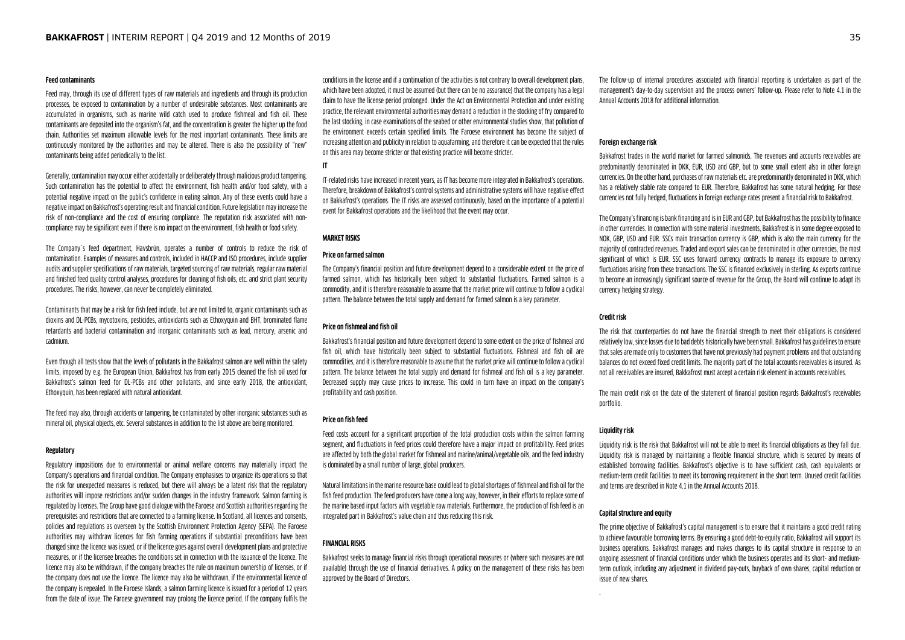#### **Feed contaminants**

Feed may, through its use of different types of raw materials and ingredients and through its production processes, be exposed to contamination by a number of undesirable substances. Most contaminants are accumulated in organisms, such as marine wild catch used to produce fishmeal and fish oil. These contaminants are deposited into the organism's fat, and the concentration is greater the higher up the food chain. Authorities set maximum allowable levels for the most important contaminants. These limits are continuously monitored by the authorities and may be altered. There is also the possibility of "new" contaminants being added periodically to the list.

Generally, contamination may occur either accidentally or deliberately through malicious product tampering. Such contamination has the potential to affect the environment, fish health and/or food safety, with a potential negative impact on the public's confidence in eating salmon. Any of these events could have a negative impact on Bakkafrost's operating result and financial condition. Future legislation may increase the risk of non-compliance and the cost of ensuring compliance. The reputation risk associated with noncompliance may be significant even if there is no impact on the environment, fish health or food safety.

The Company´s feed department, Havsbrún, operates a number of controls to reduce the risk of contamination. Examples of measures and controls, included in HACCP and ISO procedures, include supplier audits and supplier specifications of raw materials, targeted sourcing of raw materials, regular raw material and finished feed quality control analyses, procedures for cleaning of fish oils, etc. and strict plant security procedures. The risks, however, can never be completely eliminated.

Contaminants that may be a risk for fish feed include, but are not limited to, organic contaminants such as dioxins and DL-PCBs, mycotoxins, pesticides, antioxidants such as Ethoxyquin and BHT, brominated flame retardants and bacterial contamination and inorganic contaminants such as lead, mercury, arsenic and cadmium.

Even though all tests show that the levels of pollutants in the Bakkafrost salmon are well within the safety limits, imposed by e.g. the European Union, Bakkafrost has from early 2015 cleaned the fish oil used for Bakkafrost's salmon feed for DL-PCBs and other pollutants, and since early 2018, the antioxidant, Ethoxyquin, has been replaced with natural antioxidant.

The feed may also, through accidents or tampering, be contaminated by other inorganic substances such as mineral oil, physical objects, etc. Several substances in addition to the list above are being monitored.

### **Regulatory**

Regulatory impositions due to environmental or animal welfare concerns may materially impact the Company's operations and financial condition. The Company emphasises to organize its operations so that the risk for unexpected measures is reduced, but there will always be a latent risk that the regulatory authorities will impose restrictions and/or sudden changes in the industry framework. Salmon farming is regulated by licenses. The Group have good dialogue with the Faroese and Scottish authorities regarding the prerequisites and restrictions that are connected to a farming license. In Scotland, all licences and consents, policies and regulations as overseen by the Scottish Environment Protection Agency (SEPA). The Faroese authorities may withdraw licences for fish farming operations if substantial preconditions have been changed since the licence was issued, or if the licence goes against overall development plans and protective measures, or if the licensee breaches the conditions set in connection with the issuance of the licence. The licence may also be withdrawn, if the company breaches the rule on maximum ownership of licenses, or if the company does not use the licence. The licence may also be withdrawn, if the environmental licence of the company is repealed. In the Faroese Islands, a salmon farming licence is issued for a period of 12 years from the date of issue. The Faroese government may prolong the licence period. If the company fulfils the

conditions in the license and if a continuation of the activities is not contrary to overall development plans, which have been adopted, it must be assumed (but there can be no assurance) that the company has a legal claim to have the license period prolonged. Under the Act on Environmental Protection and under existing practice, the relevant environmental authorities may demand a reduction in the stocking of fry compared to the last stocking, in case examinations of the seabed or other environmental studies show, that pollution of the environment exceeds certain specified limits. The Faroese environment has become the subject of increasing attention and publicity in relation to aquafarming, and therefore it can be expected that the rules on this area may become stricter or that existing practice will become stricter.

#### **IT**

IT-related risks have increased in recent years, as IT has become more integrated in Bakkafrost's operations. Therefore, breakdown of Bakkafrost's control systems and administrative systems will have negative effect on Bakkafrost's operations. The IT risks are assessed continuously, based on the importance of a potential event for Bakkafrost operations and the likelihood that the event may occur.

### **MARKET RISKS**

### **Price on farmed salmon**

The Company's financial position and future development depend to a considerable extent on the price of farmed salmon, which has historically been subject to substantial fluctuations. Farmed salmon is a commodity, and it is therefore reasonable to assume that the market price will continue to follow a cyclical pattern. The balance between the total supply and demand for farmed salmon is a key parameter.

### **Price on fishmeal and fish oil**

Bakkafrost's financial position and future development depend to some extent on the price of fishmeal and fish oil, which have historically been subject to substantial fluctuations. Fishmeal and fish oil are commodities, and it is therefore reasonable to assume that the market price will continue to follow a cyclical pattern. The balance between the total supply and demand for fishmeal and fish oil is a key parameter. Decreased supply may cause prices to increase. This could in turn have an impact on the company's profitability and cash position.

#### **Price on fish feed**

Feed costs account for a significant proportion of the total production costs within the salmon farming segment, and fluctuations in feed prices could therefore have a major impact on profitability. Feed prices are affected by both the global market for fishmeal and marine/animal/vegetable oils, and the feed industry is dominated by a small number of large, global producers.

Natural limitations in the marine resource base could lead to global shortages of fishmeal and fish oil for the fish feed production. The feed producers have come a long way, however, in their efforts to replace some of the marine based input factors with vegetable raw materials. Furthermore, the production of fish feed is an integrated part in Bakkafrost's value chain and thus reducing this risk.

### **FINANCIAL RISKS**

Bakkafrost seeks to manage financial risks through operational measures or (where such measures are not available) through the use of financial derivatives. A policy on the management of these risks has been approved by the Board of Directors.

The follow-up of internal procedures associated with financial reporting is undertaken as part of the management's day-to-day supervision and the process owners' follow-up. Please refer to Note 4.1 in the Annual Accounts 2018 for additional information.

#### **Foreign exchange risk**

Bakkafrost trades in the world market for farmed salmonids. The revenues and accounts receivables are predominantly denominated in DKK, EUR, USD and GBP, but to some small extent also in other foreign currencies. On the other hand, purchases of raw materials etc. are predominantly denominated in DKK, which has a relatively stable rate compared to EUR. Therefore, Bakkafrost has some natural hedging. For those currencies not fully hedged, fluctuations in foreign exchange rates present a financial risk to Bakkafrost.

The Company's financing is bank financing and is in EUR and GBP, but Bakkafrost has the possibility to finance in other currencies. In connection with some material investments, Bakkafrost is in some degree exposed to NOK, GBP, USD and EUR. SSCs main transaction currency is GBP, which is also the main currency for the majority of contracted revenues. Traded and export sales can be denominated in other currencies, the most significant of which is EUR. SSC uses forward currency contracts to manage its exposure to currency fluctuations arising from these transactions. The SSC is financed exclusively in sterling. As exports continue to become an increasingly significant source of revenue for the Group, the Board will continue to adapt its currency hedging strategy.

### **Credit risk**

The risk that counterparties do not have the financial strength to meet their obligations is considered relatively low, since losses due to bad debts historically have been small. Bakkafrost has guidelines to ensure that sales are made only to customers that have not previously had payment problems and that outstanding balances do not exceed fixed credit limits. The majority part of the total accounts receivables is insured. As not all receivables are insured, Bakkafrost must accept a certain risk element in accounts receivables.

The main credit risk on the date of the statement of financial position regards Bakkafrost's receivables portfolio.

#### **Liquidity risk**

Liquidity risk is the risk that Bakkafrost will not be able to meet its financial obligations as they fall due. Liquidity risk is managed by maintaining a flexible financial structure, which is secured by means of established borrowing facilities. Bakkafrost's objective is to have sufficient cash, cash equivalents or medium-term credit facilities to meet its borrowing requirement in the short term. Unused credit facilities and terms are described in Note 4.1 in the Annual Accounts 2018.

#### **Capital structure and equity**

The prime objective of Bakkafrost's capital management is to ensure that it maintains a good credit rating to achieve favourable borrowing terms. By ensuring a good debt-to-equity ratio, Bakkafrost will support its business operations. Bakkafrost manages and makes changes to its capital structure in response to an ongoing assessment of financial conditions under which the business operates and its short- and mediumterm outlook, including any adjustment in dividend pay-outs, buyback of own shares, capital reduction or issue of new shares.